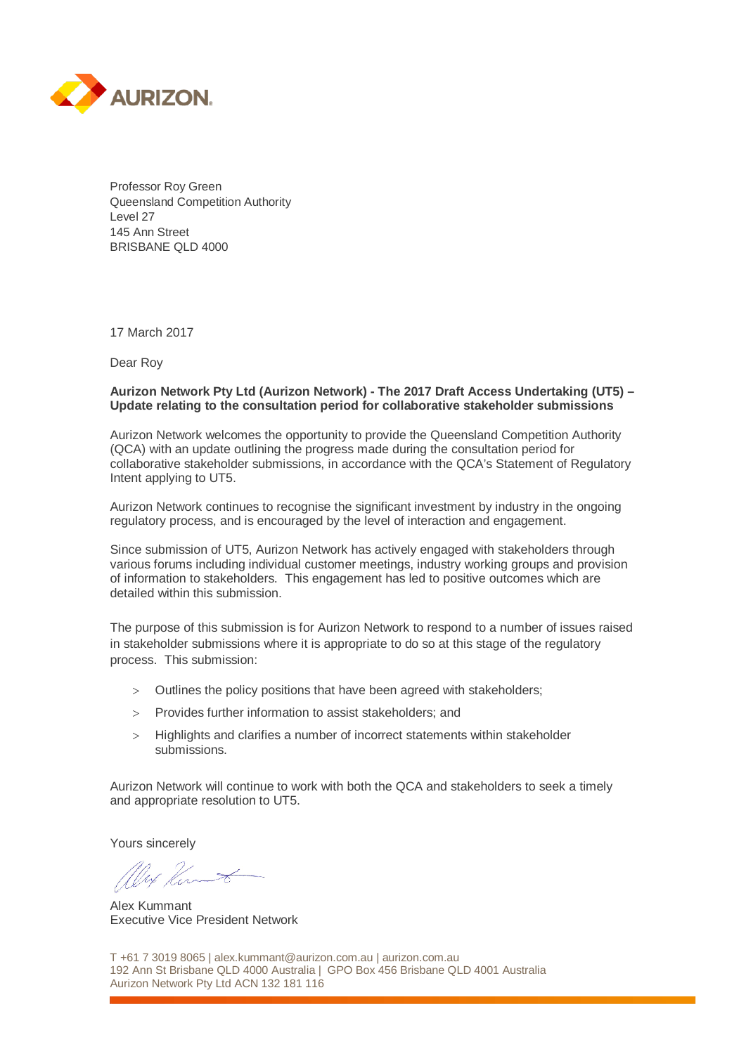

Professor Roy Green Queensland Competition Authority Level 27 145 Ann Street BRISBANE QLD 4000

17 March 2017

Dear Roy

#### **Aurizon Network Pty Ltd (Aurizon Network) - The 2017 Draft Access Undertaking (UT5) – Update relating to the consultation period for collaborative stakeholder submissions**

Aurizon Network welcomes the opportunity to provide the Queensland Competition Authority (QCA) with an update outlining the progress made during the consultation period for collaborative stakeholder submissions, in accordance with the QCA's Statement of Regulatory Intent applying to UT5.

Aurizon Network continues to recognise the significant investment by industry in the ongoing regulatory process, and is encouraged by the level of interaction and engagement.

Since submission of UT5, Aurizon Network has actively engaged with stakeholders through various forums including individual customer meetings, industry working groups and provision of information to stakeholders. This engagement has led to positive outcomes which are detailed within this submission.

The purpose of this submission is for Aurizon Network to respond to a number of issues raised in stakeholder submissions where it is appropriate to do so at this stage of the regulatory process. This submission:

- > Outlines the policy positions that have been agreed with stakeholders;
- > Provides further information to assist stakeholders; and
- > Highlights and clarifies a number of incorrect statements within stakeholder submissions.

Aurizon Network will continue to work with both the QCA and stakeholders to seek a timely and appropriate resolution to UT5.

Yours sincerely

West Ker

Alex Kummant Executive Vice President Network

T +61 7 3019 8065 | alex.kummant@aurizon.com.au | aurizon.com.au 192 Ann St Brisbane QLD 4000 Australia | GPO Box 456 Brisbane QLD 4001 Australia Aurizon Network Pty Ltd ACN 132 181 116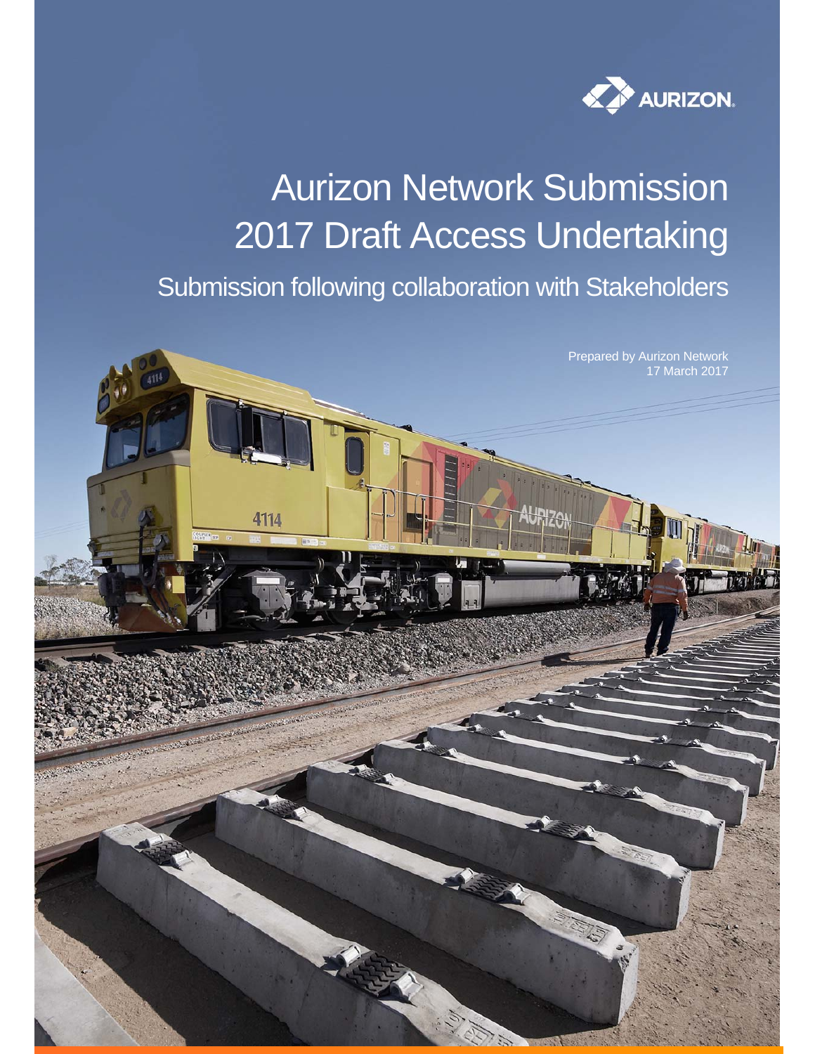

# Aurizon Network Submission 2017 Draft Access Undertaking

Submission following collaboration with Stakeholders

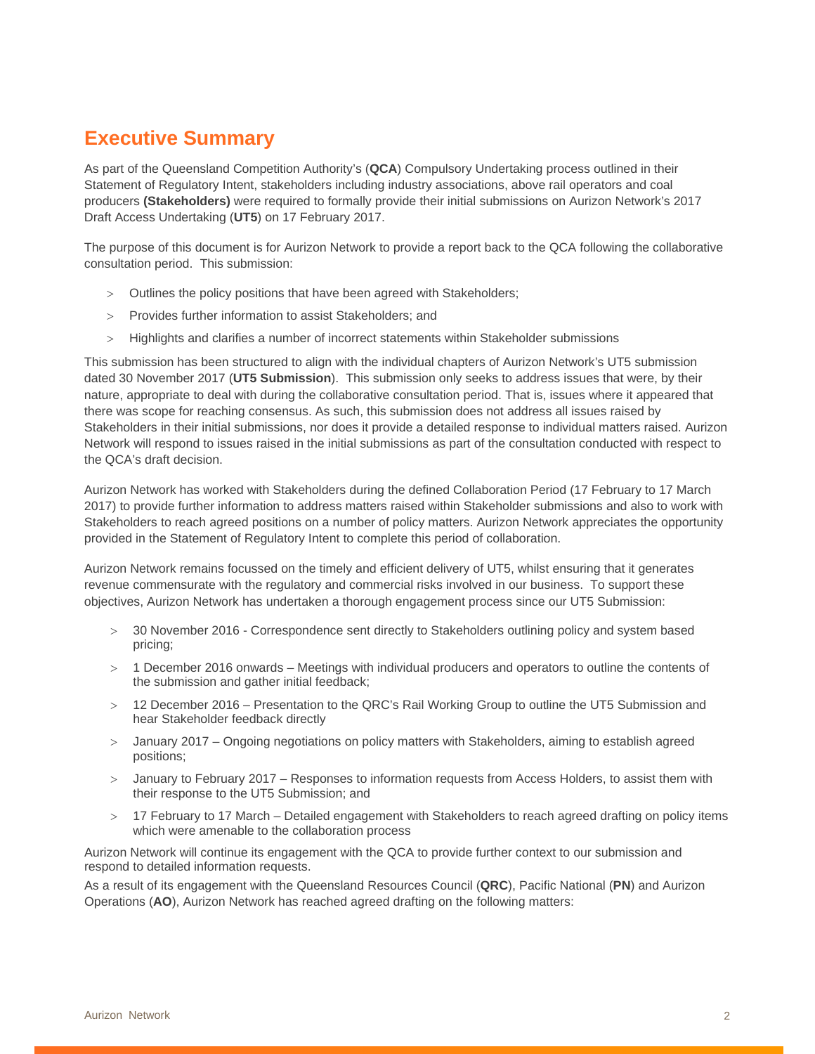# **Executive Summary**

As part of the Queensland Competition Authority's (**QCA**) Compulsory Undertaking process outlined in their Statement of Regulatory Intent, stakeholders including industry associations, above rail operators and coal producers **(Stakeholders)** were required to formally provide their initial submissions on Aurizon Network's 2017 Draft Access Undertaking (**UT5**) on 17 February 2017.

The purpose of this document is for Aurizon Network to provide a report back to the QCA following the collaborative consultation period. This submission:

- Outlines the policy positions that have been agreed with Stakeholders;
- Provides further information to assist Stakeholders; and
- Highlights and clarifies a number of incorrect statements within Stakeholder submissions

This submission has been structured to align with the individual chapters of Aurizon Network's UT5 submission dated 30 November 2017 (**UT5 Submission**). This submission only seeks to address issues that were, by their nature, appropriate to deal with during the collaborative consultation period. That is, issues where it appeared that there was scope for reaching consensus. As such, this submission does not address all issues raised by Stakeholders in their initial submissions, nor does it provide a detailed response to individual matters raised. Aurizon Network will respond to issues raised in the initial submissions as part of the consultation conducted with respect to the QCA's draft decision.

Aurizon Network has worked with Stakeholders during the defined Collaboration Period (17 February to 17 March 2017) to provide further information to address matters raised within Stakeholder submissions and also to work with Stakeholders to reach agreed positions on a number of policy matters. Aurizon Network appreciates the opportunity provided in the Statement of Regulatory Intent to complete this period of collaboration.

Aurizon Network remains focussed on the timely and efficient delivery of UT5, whilst ensuring that it generates revenue commensurate with the regulatory and commercial risks involved in our business. To support these objectives, Aurizon Network has undertaken a thorough engagement process since our UT5 Submission:

- 30 November 2016 Correspondence sent directly to Stakeholders outlining policy and system based pricing;
- 1 December 2016 onwards Meetings with individual producers and operators to outline the contents of the submission and gather initial feedback;
- 12 December 2016 Presentation to the QRC's Rail Working Group to outline the UT5 Submission and hear Stakeholder feedback directly
- January 2017 Ongoing negotiations on policy matters with Stakeholders, aiming to establish agreed positions;
- January to February 2017 Responses to information requests from Access Holders, to assist them with their response to the UT5 Submission; and
- > 17 February to 17 March Detailed engagement with Stakeholders to reach agreed drafting on policy items which were amenable to the collaboration process

Aurizon Network will continue its engagement with the QCA to provide further context to our submission and respond to detailed information requests.

As a result of its engagement with the Queensland Resources Council (**QRC**), Pacific National (**PN**) and Aurizon Operations (**AO**), Aurizon Network has reached agreed drafting on the following matters: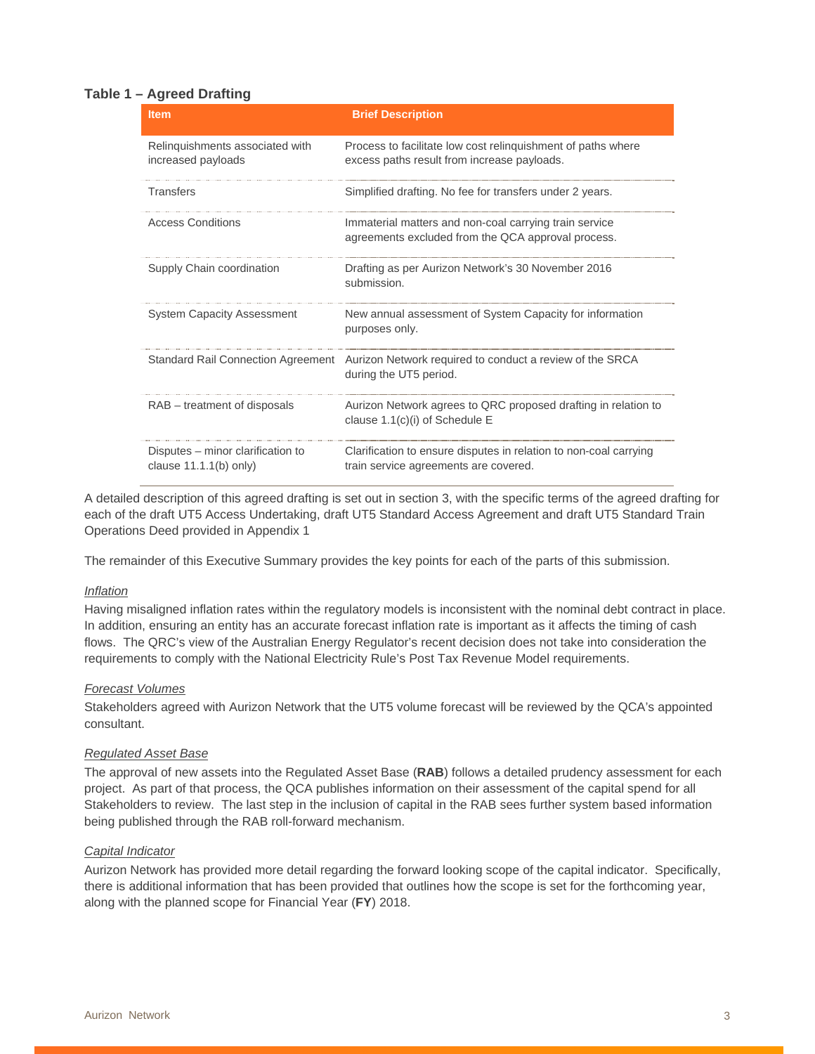#### **Table 1 – Agreed Drafting**

| <b>Item</b>                                                  | <b>Brief Description</b>                                                                                     |
|--------------------------------------------------------------|--------------------------------------------------------------------------------------------------------------|
| Relinquishments associated with<br>increased payloads        | Process to facilitate low cost relinquishment of paths where<br>excess paths result from increase payloads.  |
| <b>Transfers</b>                                             | Simplified drafting. No fee for transfers under 2 years.                                                     |
| <b>Access Conditions</b>                                     | Immaterial matters and non-coal carrying train service<br>agreements excluded from the QCA approval process. |
| Supply Chain coordination                                    | Drafting as per Aurizon Network's 30 November 2016<br>submission.                                            |
| <b>System Capacity Assessment</b>                            | New annual assessment of System Capacity for information<br>purposes only.                                   |
| <b>Standard Rail Connection Agreement</b>                    | Aurizon Network required to conduct a review of the SRCA<br>during the UT5 period.                           |
| RAB – treatment of disposals                                 | Aurizon Network agrees to QRC proposed drafting in relation to<br>clause $1.1(c)(i)$ of Schedule E           |
| Disputes – minor clarification to<br>clause $11.1($ b) only) | Clarification to ensure disputes in relation to non-coal carrying<br>train service agreements are covered.   |

A detailed description of this agreed drafting is set out in section 3, with the specific terms of the agreed drafting for each of the draft UT5 Access Undertaking, draft UT5 Standard Access Agreement and draft UT5 Standard Train Operations Deed provided in Appendix 1

The remainder of this Executive Summary provides the key points for each of the parts of this submission.

#### *Inflation*

Having misaligned inflation rates within the regulatory models is inconsistent with the nominal debt contract in place. In addition, ensuring an entity has an accurate forecast inflation rate is important as it affects the timing of cash flows. The QRC's view of the Australian Energy Regulator's recent decision does not take into consideration the requirements to comply with the National Electricity Rule's Post Tax Revenue Model requirements.

#### *Forecast Volumes*

Stakeholders agreed with Aurizon Network that the UT5 volume forecast will be reviewed by the QCA's appointed consultant.

#### *Regulated Asset Base*

The approval of new assets into the Regulated Asset Base (**RAB**) follows a detailed prudency assessment for each project. As part of that process, the QCA publishes information on their assessment of the capital spend for all Stakeholders to review. The last step in the inclusion of capital in the RAB sees further system based information being published through the RAB roll-forward mechanism.

#### *Capital Indicator*

Aurizon Network has provided more detail regarding the forward looking scope of the capital indicator. Specifically, there is additional information that has been provided that outlines how the scope is set for the forthcoming year, along with the planned scope for Financial Year (**FY**) 2018.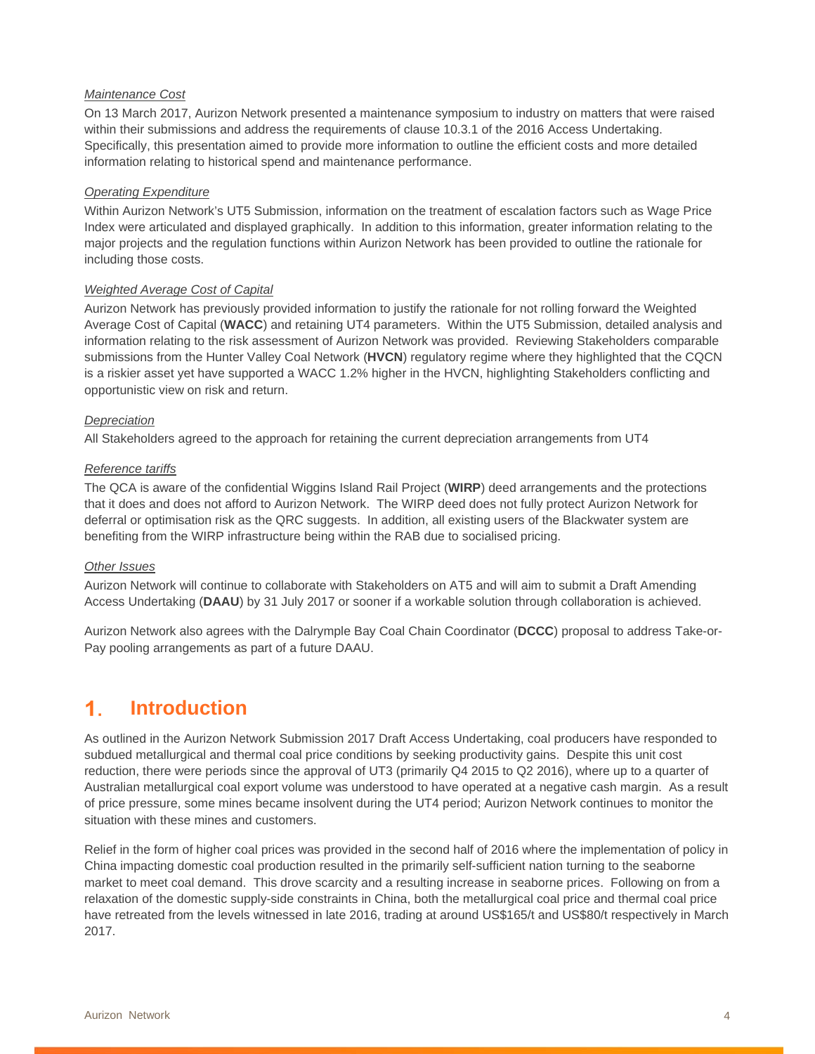#### *Maintenance Cost*

On 13 March 2017, Aurizon Network presented a maintenance symposium to industry on matters that were raised within their submissions and address the requirements of clause 10.3.1 of the 2016 Access Undertaking. Specifically, this presentation aimed to provide more information to outline the efficient costs and more detailed information relating to historical spend and maintenance performance.

#### *Operating Expenditure*

Within Aurizon Network's UT5 Submission, information on the treatment of escalation factors such as Wage Price Index were articulated and displayed graphically. In addition to this information, greater information relating to the major projects and the regulation functions within Aurizon Network has been provided to outline the rationale for including those costs.

#### *Weighted Average Cost of Capital*

Aurizon Network has previously provided information to justify the rationale for not rolling forward the Weighted Average Cost of Capital (**WACC**) and retaining UT4 parameters. Within the UT5 Submission, detailed analysis and information relating to the risk assessment of Aurizon Network was provided. Reviewing Stakeholders comparable submissions from the Hunter Valley Coal Network (**HVCN**) regulatory regime where they highlighted that the CQCN is a riskier asset yet have supported a WACC 1.2% higher in the HVCN, highlighting Stakeholders conflicting and opportunistic view on risk and return.

#### *Depreciation*

All Stakeholders agreed to the approach for retaining the current depreciation arrangements from UT4

#### *Reference tariffs*

The QCA is aware of the confidential Wiggins Island Rail Project (**WIRP**) deed arrangements and the protections that it does and does not afford to Aurizon Network. The WIRP deed does not fully protect Aurizon Network for deferral or optimisation risk as the QRC suggests. In addition, all existing users of the Blackwater system are benefiting from the WIRP infrastructure being within the RAB due to socialised pricing.

#### *Other Issues*

Aurizon Network will continue to collaborate with Stakeholders on AT5 and will aim to submit a Draft Amending Access Undertaking (**DAAU**) by 31 July 2017 or sooner if a workable solution through collaboration is achieved.

Aurizon Network also agrees with the Dalrymple Bay Coal Chain Coordinator (**DCCC**) proposal to address Take-or-Pay pooling arrangements as part of a future DAAU.

# **Introduction**

As outlined in the Aurizon Network Submission 2017 Draft Access Undertaking, coal producers have responded to subdued metallurgical and thermal coal price conditions by seeking productivity gains. Despite this unit cost reduction, there were periods since the approval of UT3 (primarily Q4 2015 to Q2 2016), where up to a quarter of Australian metallurgical coal export volume was understood to have operated at a negative cash margin. As a result of price pressure, some mines became insolvent during the UT4 period; Aurizon Network continues to monitor the situation with these mines and customers.

Relief in the form of higher coal prices was provided in the second half of 2016 where the implementation of policy in China impacting domestic coal production resulted in the primarily self-sufficient nation turning to the seaborne market to meet coal demand. This drove scarcity and a resulting increase in seaborne prices. Following on from a relaxation of the domestic supply-side constraints in China, both the metallurgical coal price and thermal coal price have retreated from the levels witnessed in late 2016, trading at around US\$165/t and US\$80/t respectively in March 2017.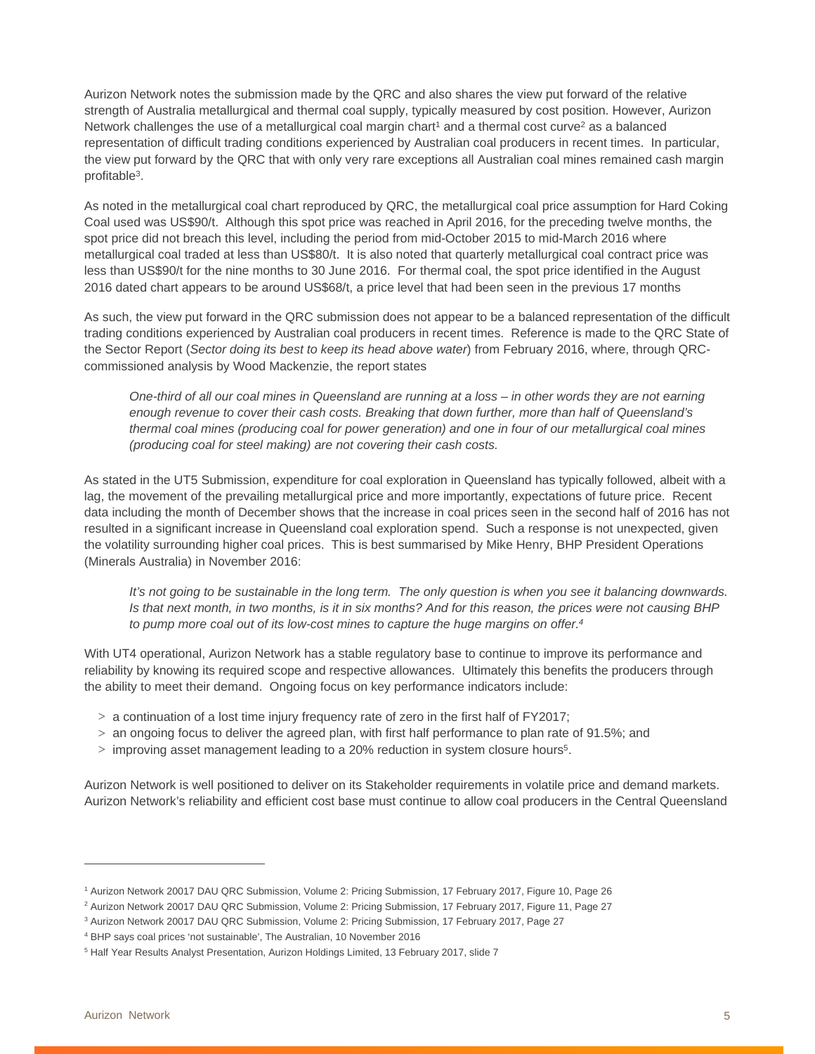Aurizon Network notes the submission made by the QRC and also shares the view put forward of the relative strength of Australia metallurgical and thermal coal supply, typically measured by cost position. However, Aurizon Network challenges the use of a metallurgical coal margin chart<sup>1</sup> and a thermal cost curve<sup>2</sup> as a balanced representation of difficult trading conditions experienced by Australian coal producers in recent times. In particular, the view put forward by the QRC that with only very rare exceptions all Australian coal mines remained cash margin profitable3.

As noted in the metallurgical coal chart reproduced by QRC, the metallurgical coal price assumption for Hard Coking Coal used was US\$90/t. Although this spot price was reached in April 2016, for the preceding twelve months, the spot price did not breach this level, including the period from mid-October 2015 to mid-March 2016 where metallurgical coal traded at less than US\$80/t. It is also noted that quarterly metallurgical coal contract price was less than US\$90/t for the nine months to 30 June 2016. For thermal coal, the spot price identified in the August 2016 dated chart appears to be around US\$68/t, a price level that had been seen in the previous 17 months

As such, the view put forward in the QRC submission does not appear to be a balanced representation of the difficult trading conditions experienced by Australian coal producers in recent times. Reference is made to the QRC State of the Sector Report (*Sector doing its best to keep its head above water*) from February 2016, where, through QRCcommissioned analysis by Wood Mackenzie, the report states

*One-third of all our coal mines in Queensland are running at a loss – in other words they are not earning enough revenue to cover their cash costs. Breaking that down further, more than half of Queensland's thermal coal mines (producing coal for power generation) and one in four of our metallurgical coal mines (producing coal for steel making) are not covering their cash costs.* 

As stated in the UT5 Submission, expenditure for coal exploration in Queensland has typically followed, albeit with a lag, the movement of the prevailing metallurgical price and more importantly, expectations of future price. Recent data including the month of December shows that the increase in coal prices seen in the second half of 2016 has not resulted in a significant increase in Queensland coal exploration spend. Such a response is not unexpected, given the volatility surrounding higher coal prices. This is best summarised by Mike Henry, BHP President Operations (Minerals Australia) in November 2016:

*It's not going to be sustainable in the long term. The only question is when you see it balancing downwards. Is that next month, in two months, is it in six months? And for this reason, the prices were not causing BHP to pump more coal out of its low-cost mines to capture the huge margins on offer.4*

With UT4 operational, Aurizon Network has a stable regulatory base to continue to improve its performance and reliability by knowing its required scope and respective allowances. Ultimately this benefits the producers through the ability to meet their demand. Ongoing focus on key performance indicators include:

- $> a$  continuation of a lost time injury frequency rate of zero in the first half of FY2017;
- $>$  an ongoing focus to deliver the agreed plan, with first half performance to plan rate of 91.5%; and
- $>$  improving asset management leading to a 20% reduction in system closure hours<sup>5</sup>.

Aurizon Network is well positioned to deliver on its Stakeholder requirements in volatile price and demand markets. Aurizon Network's reliability and efficient cost base must continue to allow coal producers in the Central Queensland

 $\overline{a}$ 

<sup>1</sup> Aurizon Network 20017 DAU QRC Submission, Volume 2: Pricing Submission, 17 February 2017, Figure 10, Page 26

<sup>&</sup>lt;sup>2</sup> Aurizon Network 20017 DAU QRC Submission, Volume 2: Pricing Submission, 17 February 2017, Figure 11, Page 27

<sup>&</sup>lt;sup>3</sup> Aurizon Network 20017 DAU QRC Submission, Volume 2: Pricing Submission, 17 February 2017, Page 27

<sup>4</sup> BHP says coal prices 'not sustainable', The Australian, 10 November 2016

<sup>&</sup>lt;sup>5</sup> Half Year Results Analyst Presentation, Aurizon Holdings Limited, 13 February 2017, slide 7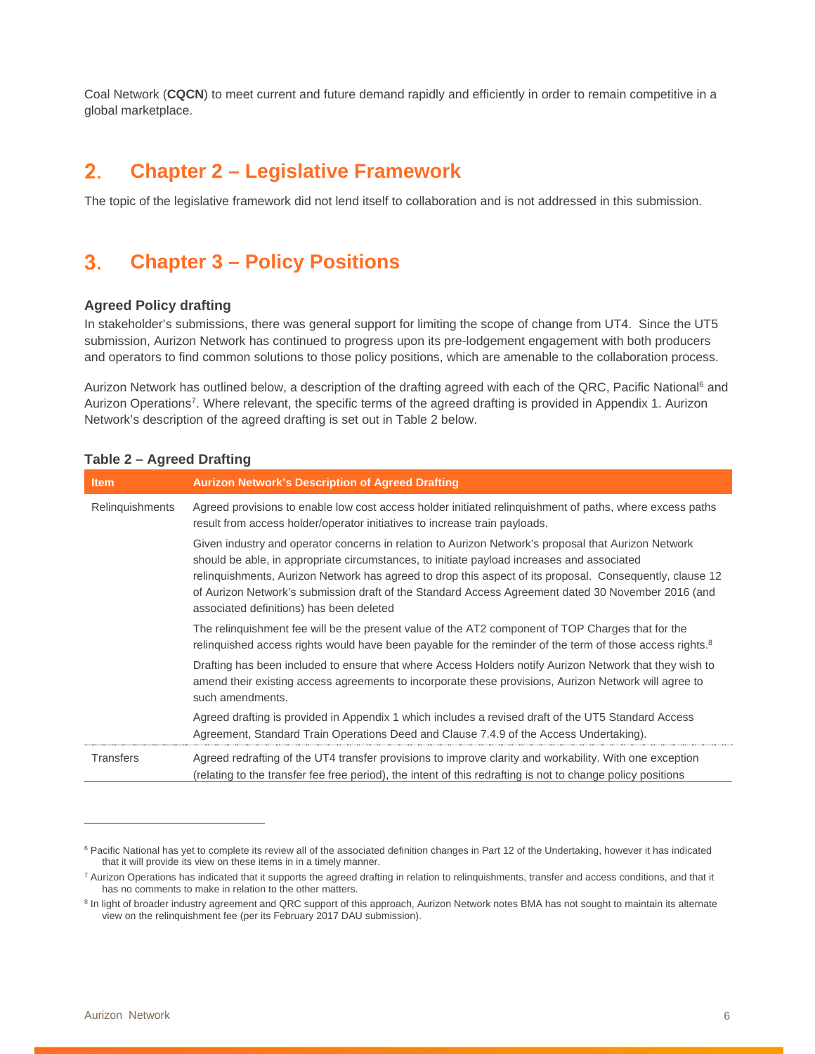Coal Network (**CQCN**) to meet current and future demand rapidly and efficiently in order to remain competitive in a global marketplace.

### **Chapter 2 – Legislative Framework**

The topic of the legislative framework did not lend itself to collaboration and is not addressed in this submission.

# **Chapter 3 – Policy Positions**

#### **Agreed Policy drafting**

In stakeholder's submissions, there was general support for limiting the scope of change from UT4. Since the UT5 submission, Aurizon Network has continued to progress upon its pre-lodgement engagement with both producers and operators to find common solutions to those policy positions, which are amenable to the collaboration process.

Aurizon Network has outlined below, a description of the drafting agreed with each of the QRC, Pacific National<sup>6</sup> and Aurizon Operations7. Where relevant, the specific terms of the agreed drafting is provided in Appendix 1. Aurizon Network's description of the agreed drafting is set out in Table 2 below.

| <b>Item</b>            | <b>Aurizon Network's Description of Agreed Drafting</b>                                                                                                                                                                                                                                                                                                                                                                                                         |
|------------------------|-----------------------------------------------------------------------------------------------------------------------------------------------------------------------------------------------------------------------------------------------------------------------------------------------------------------------------------------------------------------------------------------------------------------------------------------------------------------|
| <b>Relinquishments</b> | Agreed provisions to enable low cost access holder initiated relinguishment of paths, where excess paths<br>result from access holder/operator initiatives to increase train payloads.                                                                                                                                                                                                                                                                          |
|                        | Given industry and operator concerns in relation to Aurizon Network's proposal that Aurizon Network<br>should be able, in appropriate circumstances, to initiate payload increases and associated<br>relinguishments, Aurizon Network has agreed to drop this aspect of its proposal. Consequently, clause 12<br>of Aurizon Network's submission draft of the Standard Access Agreement dated 30 November 2016 (and<br>associated definitions) has been deleted |
|                        | The relinguishment fee will be the present value of the AT2 component of TOP Charges that for the<br>relinguished access rights would have been payable for the reminder of the term of those access rights. <sup>8</sup>                                                                                                                                                                                                                                       |
|                        | Drafting has been included to ensure that where Access Holders notify Aurizon Network that they wish to<br>amend their existing access agreements to incorporate these provisions, Aurizon Network will agree to<br>such amendments.                                                                                                                                                                                                                            |
|                        | Agreed drafting is provided in Appendix 1 which includes a revised draft of the UT5 Standard Access<br>Agreement, Standard Train Operations Deed and Clause 7.4.9 of the Access Undertaking).                                                                                                                                                                                                                                                                   |
| <b>Transfers</b>       | Agreed redrafting of the UT4 transfer provisions to improve clarity and workability. With one exception<br>(relating to the transfer fee free period), the intent of this redrafting is not to change policy positions                                                                                                                                                                                                                                          |

#### **Table 2 – Agreed Drafting**

 $\overline{a}$ 

<sup>&</sup>lt;sup>6</sup> Pacific National has yet to complete its review all of the associated definition changes in Part 12 of the Undertaking, however it has indicated that it will provide its view on these items in in a timely manner.

<sup>&</sup>lt;sup>7</sup> Aurizon Operations has indicated that it supports the agreed drafting in relation to relinquishments, transfer and access conditions, and that it has no comments to make in relation to the other matters.

<sup>&</sup>lt;sup>8</sup> In light of broader industry agreement and QRC support of this approach, Aurizon Network notes BMA has not sought to maintain its alternate view on the relinquishment fee (per its February 2017 DAU submission).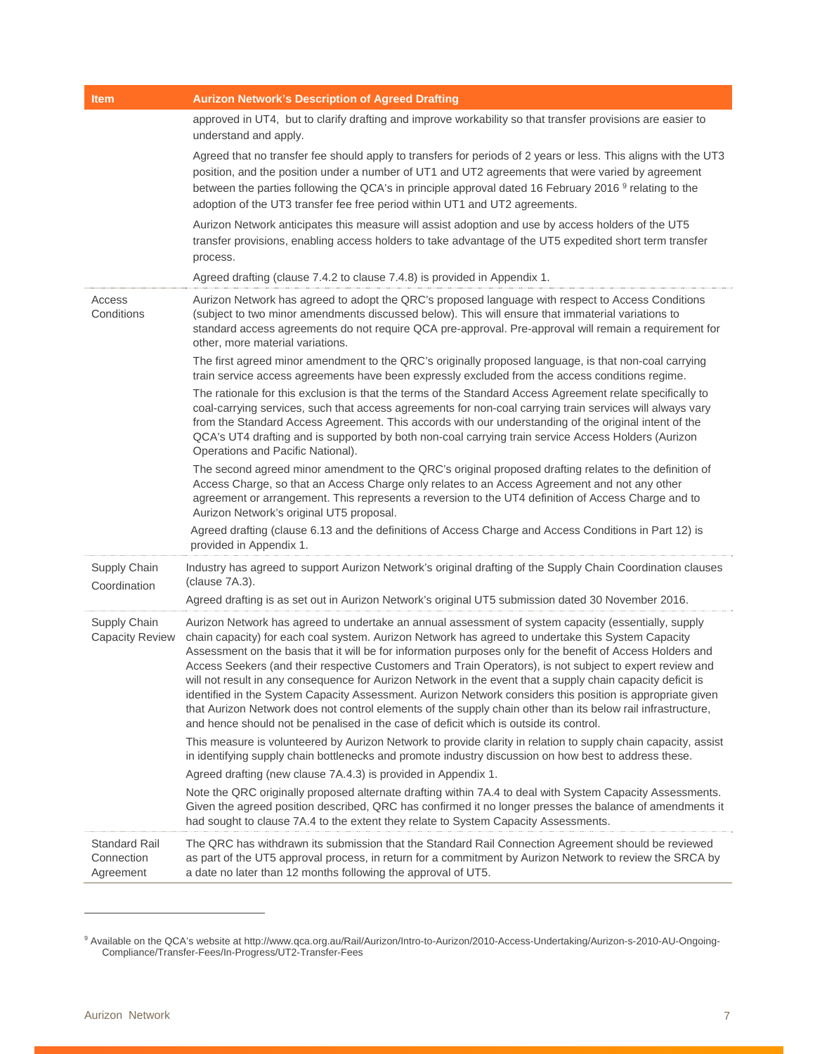| <b>Item</b>                                     | <b>Aurizon Network's Description of Agreed Drafting</b>                                                                                                                                                                                                                                                                                                                                                                                                                                                                                                                                                                                                                                                                                                                                                                                                                      |
|-------------------------------------------------|------------------------------------------------------------------------------------------------------------------------------------------------------------------------------------------------------------------------------------------------------------------------------------------------------------------------------------------------------------------------------------------------------------------------------------------------------------------------------------------------------------------------------------------------------------------------------------------------------------------------------------------------------------------------------------------------------------------------------------------------------------------------------------------------------------------------------------------------------------------------------|
|                                                 | approved in UT4, but to clarify drafting and improve workability so that transfer provisions are easier to<br>understand and apply.                                                                                                                                                                                                                                                                                                                                                                                                                                                                                                                                                                                                                                                                                                                                          |
|                                                 | Agreed that no transfer fee should apply to transfers for periods of 2 years or less. This aligns with the UT3<br>position, and the position under a number of UT1 and UT2 agreements that were varied by agreement<br>between the parties following the QCA's in principle approval dated 16 February 2016 <sup>9</sup> relating to the<br>adoption of the UT3 transfer fee free period within UT1 and UT2 agreements.                                                                                                                                                                                                                                                                                                                                                                                                                                                      |
|                                                 | Aurizon Network anticipates this measure will assist adoption and use by access holders of the UT5<br>transfer provisions, enabling access holders to take advantage of the UT5 expedited short term transfer<br>process.                                                                                                                                                                                                                                                                                                                                                                                                                                                                                                                                                                                                                                                    |
|                                                 | Agreed drafting (clause 7.4.2 to clause 7.4.8) is provided in Appendix 1.                                                                                                                                                                                                                                                                                                                                                                                                                                                                                                                                                                                                                                                                                                                                                                                                    |
| Access<br>Conditions                            | Aurizon Network has agreed to adopt the QRC's proposed language with respect to Access Conditions<br>(subject to two minor amendments discussed below). This will ensure that immaterial variations to<br>standard access agreements do not require QCA pre-approval. Pre-approval will remain a requirement for<br>other, more material variations.                                                                                                                                                                                                                                                                                                                                                                                                                                                                                                                         |
|                                                 | The first agreed minor amendment to the QRC's originally proposed language, is that non-coal carrying<br>train service access agreements have been expressly excluded from the access conditions regime.                                                                                                                                                                                                                                                                                                                                                                                                                                                                                                                                                                                                                                                                     |
|                                                 | The rationale for this exclusion is that the terms of the Standard Access Agreement relate specifically to<br>coal-carrying services, such that access agreements for non-coal carrying train services will always vary<br>from the Standard Access Agreement. This accords with our understanding of the original intent of the<br>QCA's UT4 drafting and is supported by both non-coal carrying train service Access Holders (Aurizon<br>Operations and Pacific National).                                                                                                                                                                                                                                                                                                                                                                                                 |
|                                                 | The second agreed minor amendment to the QRC's original proposed drafting relates to the definition of<br>Access Charge, so that an Access Charge only relates to an Access Agreement and not any other<br>agreement or arrangement. This represents a reversion to the UT4 definition of Access Charge and to<br>Aurizon Network's original UT5 proposal.                                                                                                                                                                                                                                                                                                                                                                                                                                                                                                                   |
|                                                 | Agreed drafting (clause 6.13 and the definitions of Access Charge and Access Conditions in Part 12) is<br>provided in Appendix 1.                                                                                                                                                                                                                                                                                                                                                                                                                                                                                                                                                                                                                                                                                                                                            |
| Supply Chain<br>Coordination                    | Industry has agreed to support Aurizon Network's original drafting of the Supply Chain Coordination clauses<br>(clause 7A.3).                                                                                                                                                                                                                                                                                                                                                                                                                                                                                                                                                                                                                                                                                                                                                |
|                                                 | Agreed drafting is as set out in Aurizon Network's original UT5 submission dated 30 November 2016.                                                                                                                                                                                                                                                                                                                                                                                                                                                                                                                                                                                                                                                                                                                                                                           |
| Supply Chain<br><b>Capacity Review</b>          | Aurizon Network has agreed to undertake an annual assessment of system capacity (essentially, supply<br>chain capacity) for each coal system. Aurizon Network has agreed to undertake this System Capacity<br>Assessment on the basis that it will be for information purposes only for the benefit of Access Holders and<br>Access Seekers (and their respective Customers and Train Operators), is not subject to expert review and<br>will not result in any consequence for Aurizon Network in the event that a supply chain capacity deficit is<br>identified in the System Capacity Assessment. Aurizon Network considers this position is appropriate given<br>that Aurizon Network does not control elements of the supply chain other than its below rail infrastructure,<br>and hence should not be penalised in the case of deficit which is outside its control. |
|                                                 | This measure is volunteered by Aurizon Network to provide clarity in relation to supply chain capacity, assist<br>in identifying supply chain bottlenecks and promote industry discussion on how best to address these.<br>Agreed drafting (new clause 7A.4.3) is provided in Appendix 1.                                                                                                                                                                                                                                                                                                                                                                                                                                                                                                                                                                                    |
|                                                 | Note the QRC originally proposed alternate drafting within 7A.4 to deal with System Capacity Assessments.<br>Given the agreed position described, QRC has confirmed it no longer presses the balance of amendments it<br>had sought to clause 7A.4 to the extent they relate to System Capacity Assessments.                                                                                                                                                                                                                                                                                                                                                                                                                                                                                                                                                                 |
| <b>Standard Rail</b><br>Connection<br>Agreement | The QRC has withdrawn its submission that the Standard Rail Connection Agreement should be reviewed<br>as part of the UT5 approval process, in return for a commitment by Aurizon Network to review the SRCA by<br>a date no later than 12 months following the approval of UT5.                                                                                                                                                                                                                                                                                                                                                                                                                                                                                                                                                                                             |

<sup>9</sup> Available on the QCA's website at http://www.qca.org.au/Rail/Aurizon/Intro-to-Aurizon/2010-Access-Undertaking/Aurizon-s-2010-AU-Ongoing-Compliance/Transfer-Fees/In-Progress/UT2-Transfer-Fees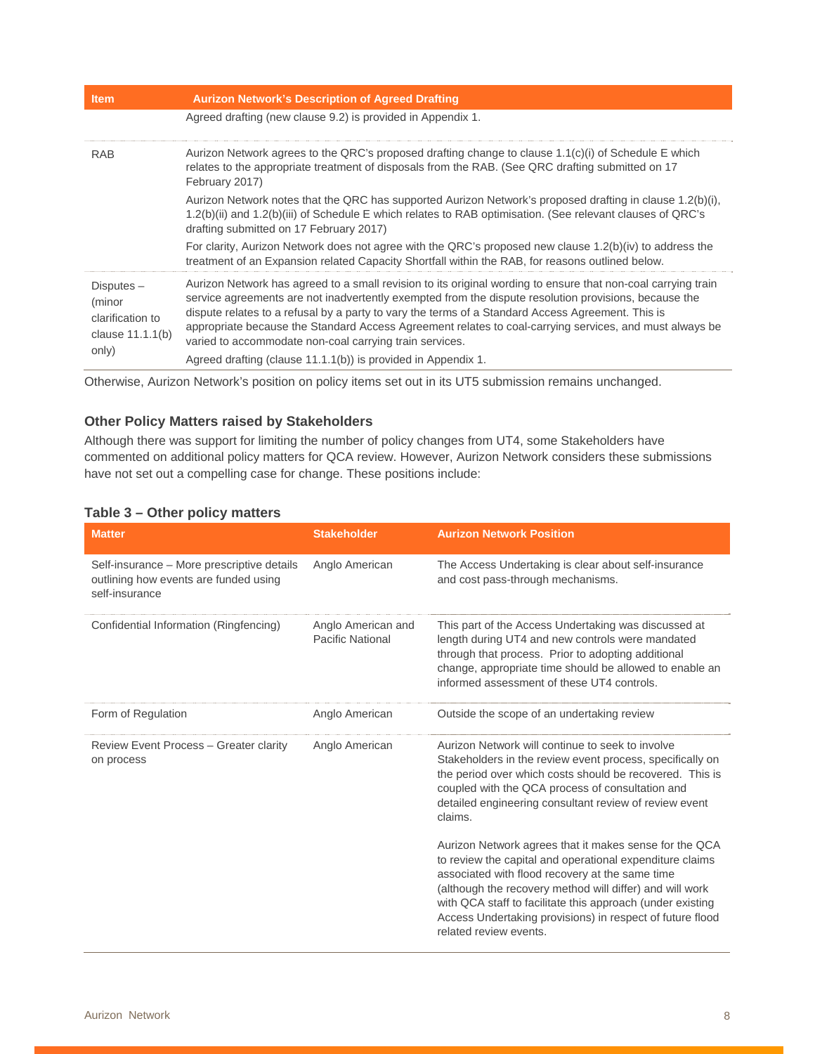| <b>Item</b>                                                             | <b>Aurizon Network's Description of Agreed Drafting</b>                                                                                                                                                                                                                                                                                                                                                                                                                                           |
|-------------------------------------------------------------------------|---------------------------------------------------------------------------------------------------------------------------------------------------------------------------------------------------------------------------------------------------------------------------------------------------------------------------------------------------------------------------------------------------------------------------------------------------------------------------------------------------|
|                                                                         | Agreed drafting (new clause 9.2) is provided in Appendix 1.                                                                                                                                                                                                                                                                                                                                                                                                                                       |
| <b>RAB</b>                                                              | Aurizon Network agrees to the QRC's proposed drafting change to clause 1.1(c)(i) of Schedule E which<br>relates to the appropriate treatment of disposals from the RAB. (See QRC drafting submitted on 17<br>February 2017)                                                                                                                                                                                                                                                                       |
|                                                                         | Aurizon Network notes that the QRC has supported Aurizon Network's proposed drafting in clause 1.2(b)(i),<br>1.2(b)(ii) and 1.2(b)(iii) of Schedule E which relates to RAB optimisation. (See relevant clauses of QRC's<br>drafting submitted on 17 February 2017)                                                                                                                                                                                                                                |
|                                                                         | For clarity, Aurizon Network does not agree with the QRC's proposed new clause 1.2(b)(iv) to address the<br>treatment of an Expansion related Capacity Shortfall within the RAB, for reasons outlined below.                                                                                                                                                                                                                                                                                      |
| $Disputes -$<br>(minor<br>clarification to<br>clause 11.1.1(b)<br>only) | Aurizon Network has agreed to a small revision to its original wording to ensure that non-coal carrying train<br>service agreements are not inadvertently exempted from the dispute resolution provisions, because the<br>dispute relates to a refusal by a party to vary the terms of a Standard Access Agreement. This is<br>appropriate because the Standard Access Agreement relates to coal-carrying services, and must always be<br>varied to accommodate non-coal carrying train services. |
|                                                                         | Agreed drafting (clause 11.1.1(b)) is provided in Appendix 1.                                                                                                                                                                                                                                                                                                                                                                                                                                     |

Otherwise, Aurizon Network's position on policy items set out in its UT5 submission remains unchanged.

#### **Other Policy Matters raised by Stakeholders**

Although there was support for limiting the number of policy changes from UT4, some Stakeholders have commented on additional policy matters for QCA review. However, Aurizon Network considers these submissions have not set out a compelling case for change. These positions include:

#### **Table 3 – Other policy matters**

| <b>Matter</b>                                                                                         | <b>Stakeholder</b>                     | <b>Aurizon Network Position</b>                                                                                                                                                                                                                                                                                                                                                        |
|-------------------------------------------------------------------------------------------------------|----------------------------------------|----------------------------------------------------------------------------------------------------------------------------------------------------------------------------------------------------------------------------------------------------------------------------------------------------------------------------------------------------------------------------------------|
| Self-insurance - More prescriptive details<br>outlining how events are funded using<br>self-insurance | Anglo American                         | The Access Undertaking is clear about self-insurance<br>and cost pass-through mechanisms.                                                                                                                                                                                                                                                                                              |
| Confidential Information (Ringfencing)                                                                | Anglo American and<br>Pacific National | This part of the Access Undertaking was discussed at<br>length during UT4 and new controls were mandated<br>through that process. Prior to adopting additional<br>change, appropriate time should be allowed to enable an<br>informed assessment of these UT4 controls.                                                                                                                |
| Form of Regulation                                                                                    | Anglo American                         | Outside the scope of an undertaking review                                                                                                                                                                                                                                                                                                                                             |
| Review Event Process - Greater clarity<br>on process                                                  | Anglo American                         | Aurizon Network will continue to seek to involve<br>Stakeholders in the review event process, specifically on<br>the period over which costs should be recovered. This is<br>coupled with the QCA process of consultation and<br>detailed engineering consultant review of review event<br>claims.                                                                                     |
|                                                                                                       |                                        | Aurizon Network agrees that it makes sense for the QCA<br>to review the capital and operational expenditure claims<br>associated with flood recovery at the same time<br>(although the recovery method will differ) and will work<br>with QCA staff to facilitate this approach (under existing<br>Access Undertaking provisions) in respect of future flood<br>related review events. |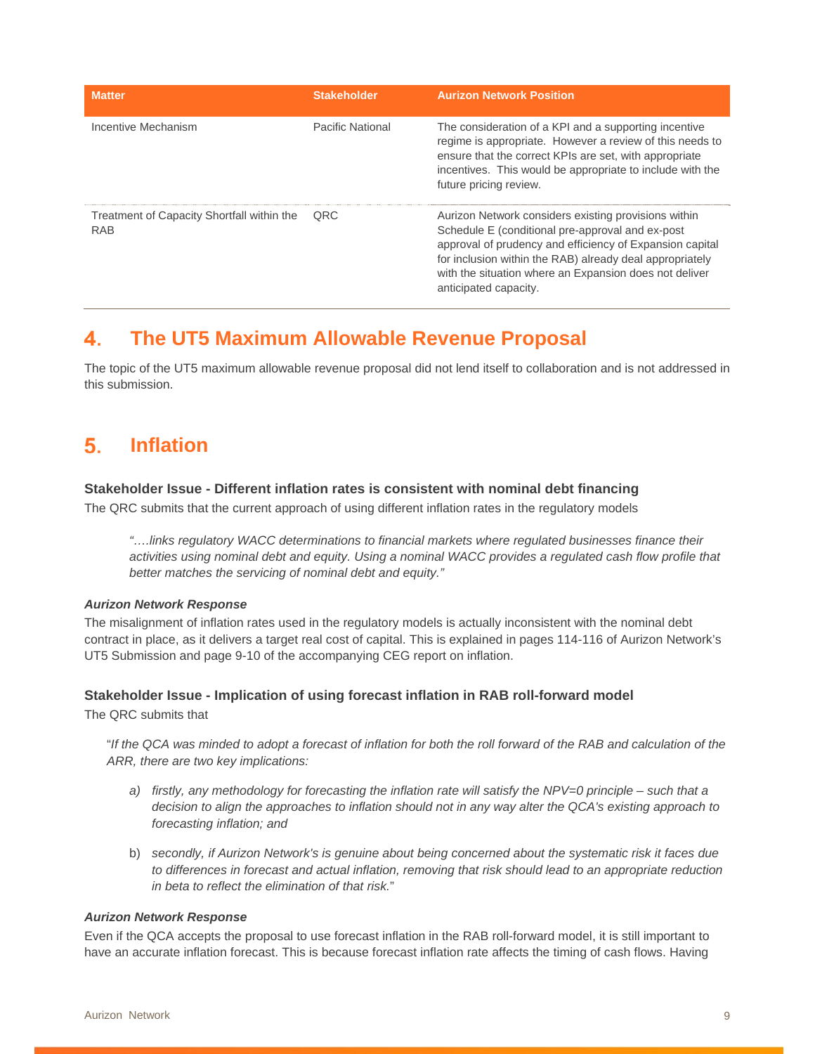| <b>Matter</b>                                            | <b>Stakeholder</b> | <b>Aurizon Network Position</b>                                                                                                                                                                                                                                                                                     |
|----------------------------------------------------------|--------------------|---------------------------------------------------------------------------------------------------------------------------------------------------------------------------------------------------------------------------------------------------------------------------------------------------------------------|
| Incentive Mechanism                                      | Pacific National   | The consideration of a KPI and a supporting incentive<br>regime is appropriate. However a review of this needs to<br>ensure that the correct KPIs are set, with appropriate<br>incentives. This would be appropriate to include with the<br>future pricing review.                                                  |
| Treatment of Capacity Shortfall within the<br><b>RAB</b> | <b>QRC</b>         | Aurizon Network considers existing provisions within<br>Schedule E (conditional pre-approval and ex-post<br>approval of prudency and efficiency of Expansion capital<br>for inclusion within the RAB) already deal appropriately<br>with the situation where an Expansion does not deliver<br>anticipated capacity. |

# **The UT5 Maximum Allowable Revenue Proposal**

The topic of the UT5 maximum allowable revenue proposal did not lend itself to collaboration and is not addressed in this submission.

# **Inflation**

#### **Stakeholder Issue - Different inflation rates is consistent with nominal debt financing**

The QRC submits that the current approach of using different inflation rates in the regulatory models

*"….links regulatory WACC determinations to financial markets where regulated businesses finance their activities using nominal debt and equity. Using a nominal WACC provides a regulated cash flow profile that better matches the servicing of nominal debt and equity."* 

#### *Aurizon Network Response*

The misalignment of inflation rates used in the regulatory models is actually inconsistent with the nominal debt contract in place, as it delivers a target real cost of capital. This is explained in pages 114-116 of Aurizon Network's UT5 Submission and page 9-10 of the accompanying CEG report on inflation.

#### **Stakeholder Issue - Implication of using forecast inflation in RAB roll-forward model**

The QRC submits that

"*If the QCA was minded to adopt a forecast of inflation for both the roll forward of the RAB and calculation of the ARR, there are two key implications:* 

- *a) firstly, any methodology for forecasting the inflation rate will satisfy the NPV=0 principle such that a decision to align the approaches to inflation should not in any way alter the QCA's existing approach to forecasting inflation; and*
- b) *secondly, if Aurizon Network's is genuine about being concerned about the systematic risk it faces due to differences in forecast and actual inflation, removing that risk should lead to an appropriate reduction in beta to reflect the elimination of that risk.*"

#### *Aurizon Network Response*

Even if the QCA accepts the proposal to use forecast inflation in the RAB roll-forward model, it is still important to have an accurate inflation forecast. This is because forecast inflation rate affects the timing of cash flows. Having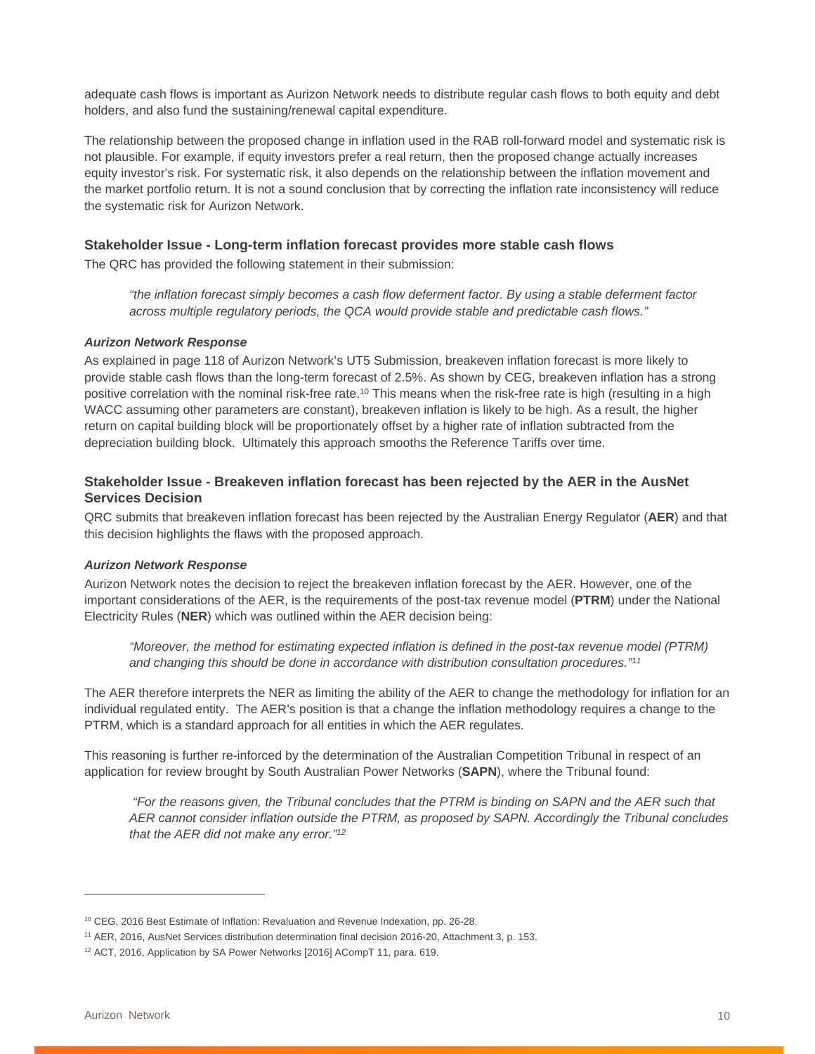adequate cash flows is important as Aurizon Network needs to distribute regular cash flows to both equity and debt holders, and also fund the sustaining/renewal capital expenditure.

The relationship between the proposed change in inflation used in the RAB roll-forward model and systematic risk is not plausible. For example, if equity investors prefer a real return, then the proposed change actually increases equity investor's risk. For systematic risk, it also depends on the relationship between the inflation movement and the market portfolio return. It is not a sound conclusion that by correcting the inflation rate inconsistency will reduce the systematic risk for Aurizon Network.

#### **Stakeholder Issue - Long-term inflation forecast provides more stable cash flows**

The QRC has provided the following statement in their submission:

*"the inflation forecast simply becomes a cash flow deferment factor. By using a stable deferment factor across multiple regulatory periods, the QCA would provide stable and predictable cash flows."* 

#### *Aurizon Network Response*

As explained in page 118 of Aurizon Network's UT5 Submission, breakeven inflation forecast is more likely to provide stable cash flows than the long-term forecast of 2.5%. As shown by CEG, breakeven inflation has a strong positive correlation with the nominal risk-free rate.<sup>10</sup> This means when the risk-free rate is high (resulting in a high WACC assuming other parameters are constant), breakeven inflation is likely to be high. As a result, the higher return on capital building block will be proportionately offset by a higher rate of inflation subtracted from the depreciation building block. Ultimately this approach smooths the Reference Tariffs over time.

#### **Stakeholder Issue - Breakeven inflation forecast has been rejected by the AER in the AusNet Services Decision**

QRC submits that breakeven inflation forecast has been rejected by the Australian Energy Regulator (**AER**) and that this decision highlights the flaws with the proposed approach.

#### *Aurizon Network Response*

Aurizon Network notes the decision to reject the breakeven inflation forecast by the AER. However, one of the important considerations of the AER, is the requirements of the post-tax revenue model (**PTRM**) under the National Electricity Rules (**NER**) which was outlined within the AER decision being:

*"Moreover, the method for estimating expected inflation is defined in the post-tax revenue model (PTRM) and changing this should be done in accordance with distribution consultation procedures."11*

The AER therefore interprets the NER as limiting the ability of the AER to change the methodology for inflation for an individual regulated entity. The AER's position is that a change the inflation methodology requires a change to the PTRM, which is a standard approach for all entities in which the AER regulates.

This reasoning is further re-inforced by the determination of the Australian Competition Tribunal in respect of an application for review brought by South Australian Power Networks (**SAPN**), where the Tribunal found:

 *"For the reasons given, the Tribunal concludes that the PTRM is binding on SAPN and the AER such that AER cannot consider inflation outside the PTRM, as proposed by SAPN. Accordingly the Tribunal concludes that the AER did not make any error."12*

<sup>&</sup>lt;sup>10</sup> CEG, 2016 Best Estimate of Inflation: Revaluation and Revenue Indexation, pp. 26-28.

<sup>&</sup>lt;sup>11</sup> AER, 2016, AusNet Services distribution determination final decision 2016-20, Attachment 3, p. 153.

<sup>&</sup>lt;sup>12</sup> ACT, 2016, Application by SA Power Networks [2016] ACompT 11, para. 619.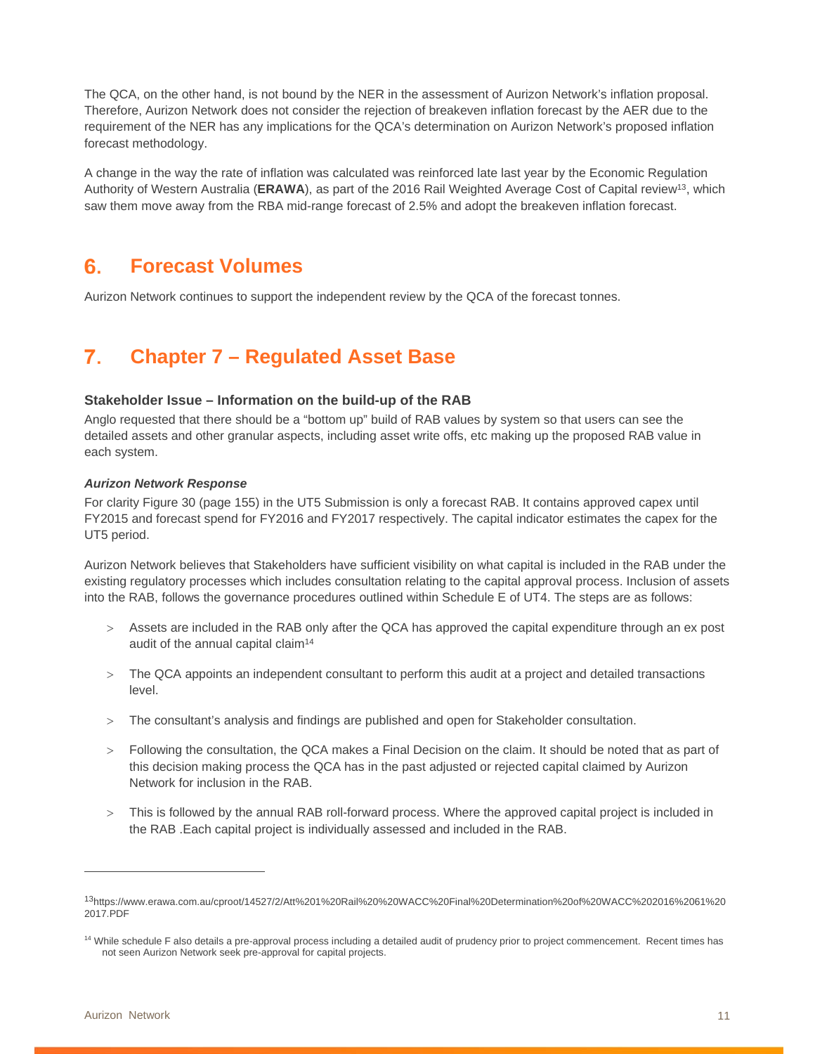The QCA, on the other hand, is not bound by the NER in the assessment of Aurizon Network's inflation proposal. Therefore, Aurizon Network does not consider the rejection of breakeven inflation forecast by the AER due to the requirement of the NER has any implications for the QCA's determination on Aurizon Network's proposed inflation forecast methodology.

A change in the way the rate of inflation was calculated was reinforced late last year by the Economic Regulation Authority of Western Australia (**ERAWA**), as part of the 2016 Rail Weighted Average Cost of Capital review13, which saw them move away from the RBA mid-range forecast of 2.5% and adopt the breakeven inflation forecast.

### **Forecast Volumes**

Aurizon Network continues to support the independent review by the QCA of the forecast tonnes.

# **Chapter 7 – Regulated Asset Base**

#### **Stakeholder Issue – Information on the build-up of the RAB**

Anglo requested that there should be a "bottom up" build of RAB values by system so that users can see the detailed assets and other granular aspects, including asset write offs, etc making up the proposed RAB value in each system.

#### *Aurizon Network Response*

For clarity Figure 30 (page 155) in the UT5 Submission is only a forecast RAB. It contains approved capex until FY2015 and forecast spend for FY2016 and FY2017 respectively. The capital indicator estimates the capex for the UT5 period.

Aurizon Network believes that Stakeholders have sufficient visibility on what capital is included in the RAB under the existing regulatory processes which includes consultation relating to the capital approval process. Inclusion of assets into the RAB, follows the governance procedures outlined within Schedule E of UT4. The steps are as follows:

- Assets are included in the RAB only after the QCA has approved the capital expenditure through an ex post audit of the annual capital claim<sup>14</sup>
- The QCA appoints an independent consultant to perform this audit at a project and detailed transactions level.
- The consultant's analysis and findings are published and open for Stakeholder consultation.
- Following the consultation, the QCA makes a Final Decision on the claim. It should be noted that as part of this decision making process the QCA has in the past adjusted or rejected capital claimed by Aurizon Network for inclusion in the RAB.
- This is followed by the annual RAB roll-forward process. Where the approved capital project is included in the RAB .Each capital project is individually assessed and included in the RAB.

 $\overline{a}$ 

<sup>13</sup>https://www.erawa.com.au/cproot/14527/2/Att%201%20Rail%20%20WACC%20Final%20Determination%20of%20WACC%202016%2061%20 2017.PDF

<sup>&</sup>lt;sup>14</sup> While schedule F also details a pre-approval process including a detailed audit of prudency prior to project commencement. Recent times has not seen Aurizon Network seek pre-approval for capital projects.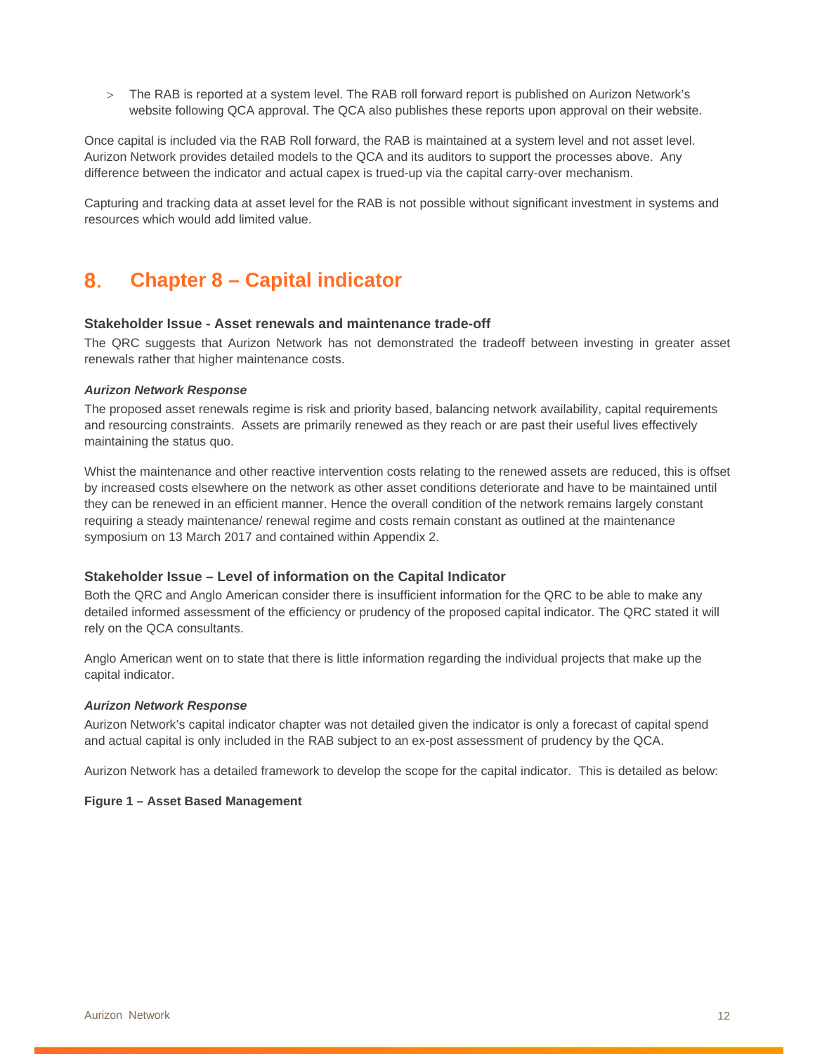The RAB is reported at a system level. The RAB roll forward report is published on Aurizon Network's website following QCA approval. The QCA also publishes these reports upon approval on their website.

Once capital is included via the RAB Roll forward, the RAB is maintained at a system level and not asset level. Aurizon Network provides detailed models to the QCA and its auditors to support the processes above. Any difference between the indicator and actual capex is trued-up via the capital carry-over mechanism.

Capturing and tracking data at asset level for the RAB is not possible without significant investment in systems and resources which would add limited value.

# **Chapter 8 – Capital indicator**

#### **Stakeholder Issue - Asset renewals and maintenance trade-off**

The QRC suggests that Aurizon Network has not demonstrated the tradeoff between investing in greater asset renewals rather that higher maintenance costs.

#### *Aurizon Network Response*

The proposed asset renewals regime is risk and priority based, balancing network availability, capital requirements and resourcing constraints. Assets are primarily renewed as they reach or are past their useful lives effectively maintaining the status quo.

Whist the maintenance and other reactive intervention costs relating to the renewed assets are reduced, this is offset by increased costs elsewhere on the network as other asset conditions deteriorate and have to be maintained until they can be renewed in an efficient manner. Hence the overall condition of the network remains largely constant requiring a steady maintenance/ renewal regime and costs remain constant as outlined at the maintenance symposium on 13 March 2017 and contained within Appendix 2.

#### **Stakeholder Issue – Level of information on the Capital Indicator**

Both the QRC and Anglo American consider there is insufficient information for the QRC to be able to make any detailed informed assessment of the efficiency or prudency of the proposed capital indicator. The QRC stated it will rely on the QCA consultants.

Anglo American went on to state that there is little information regarding the individual projects that make up the capital indicator.

#### *Aurizon Network Response*

Aurizon Network's capital indicator chapter was not detailed given the indicator is only a forecast of capital spend and actual capital is only included in the RAB subject to an ex-post assessment of prudency by the QCA.

Aurizon Network has a detailed framework to develop the scope for the capital indicator. This is detailed as below:

#### **Figure 1 – Asset Based Management**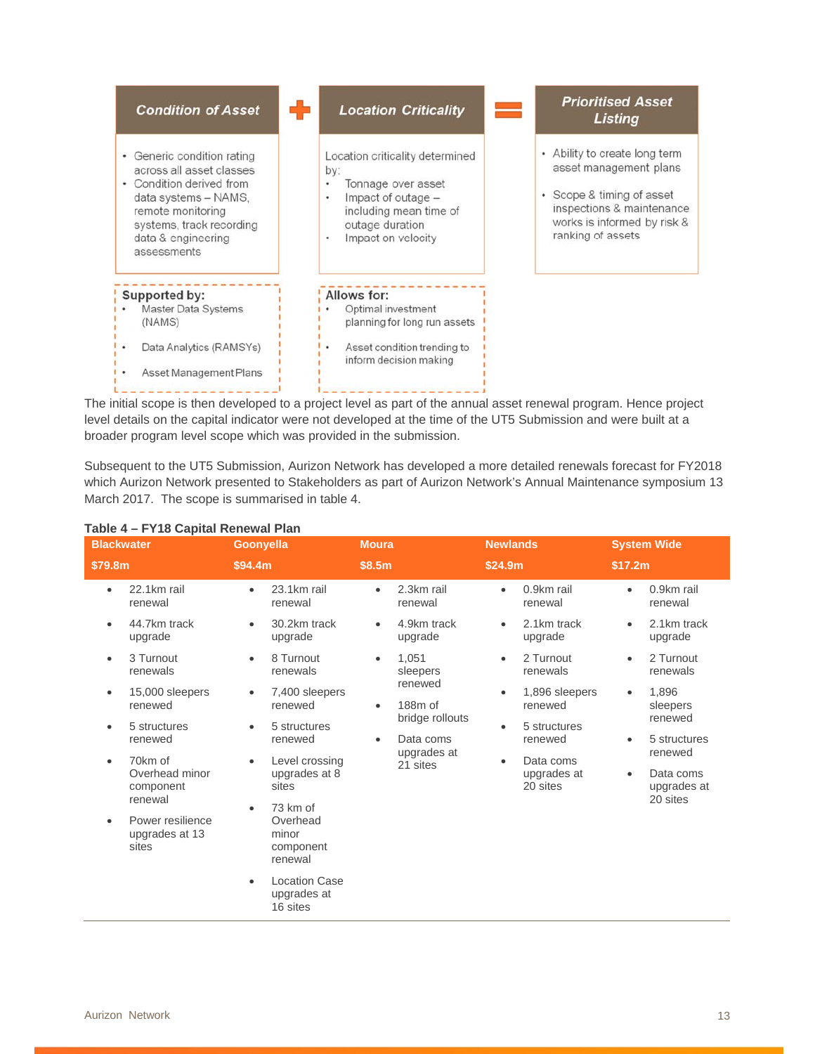

The initial scope is then developed to a project level as part of the annual asset renewal program. Hence project level details on the capital indicator were not developed at the time of the UT5 Submission and were built at a broader program level scope which was provided in the submission.

Subsequent to the UT5 Submission, Aurizon Network has developed a more detailed renewals forecast for FY2018 which Aurizon Network presented to Stakeholders as part of Aurizon Network's Annual Maintenance symposium 13 March 2017. The scope is summarised in table 4.

| .<br><b>Blackwater</b>                                         | <b>Goonyella</b>                                                               | <b>Moura</b>                              | <b>Newlands</b>                                   | <b>System Wide</b>                                           |
|----------------------------------------------------------------|--------------------------------------------------------------------------------|-------------------------------------------|---------------------------------------------------|--------------------------------------------------------------|
| \$79.8m                                                        | \$94.4m                                                                        | \$8.5m                                    | \$24.9m                                           | \$17.2m                                                      |
| 22.1km rail<br>$\bullet$<br>renewal                            | 23.1km rail<br>٠<br>renewal                                                    | 2.3km rail<br>renewal                     | 0.9km rail<br>$\bullet$<br>renewal                | 0.9km rail<br>renewal                                        |
| 44.7km track<br>٠<br>upgrade                                   | 30.2km track<br>$\bullet$<br>upgrade                                           | 4.9km track<br>upgrade                    | 2.1km track<br>$\bullet$<br>upgrade               | 2.1km track<br>upgrade                                       |
| 3 Turnout<br>$\bullet$<br>renewals                             | 8 Turnout<br>$\bullet$<br>renewals                                             | 1,051<br>$\bullet$<br>sleepers            | 2 Turnout<br>$\bullet$<br>renewals                | 2 Turnout<br>$\bullet$<br>renewals                           |
| 15,000 sleepers<br>$\bullet$<br>renewed                        | 7,400 sleepers<br>$\bullet$<br>renewed                                         | renewed<br>188m of<br>$\bullet$           | 1,896 sleepers<br>$\bullet$<br>renewed            | 1,896<br>$\bullet$<br>sleepers                               |
| 5 structures<br>٠<br>renewed                                   | 5 structures<br>renewed                                                        | bridge rollouts<br>Data coms<br>$\bullet$ | 5 structures<br>$\bullet$<br>renewed              | renewed<br>5 structures<br>٠                                 |
| 70km of<br>$\bullet$<br>Overhead minor<br>component<br>renewal | Level crossing<br>$\bullet$<br>upgrades at 8<br>sites<br>73 km of<br>$\bullet$ | upgrades at<br>21 sites                   | Data coms<br>$\bullet$<br>upgrades at<br>20 sites | renewed<br>Data coms<br>$\bullet$<br>upgrades at<br>20 sites |
| Power resilience<br>$\bullet$<br>upgrades at 13<br>sites       | Overhead<br>minor<br>component<br>renewal                                      |                                           |                                                   |                                                              |
|                                                                | <b>Location Case</b><br>$\bullet$<br>upgrades at<br>16 sites                   |                                           |                                                   |                                                              |

### **Table 4 – FY18 Capital Renewal Plan**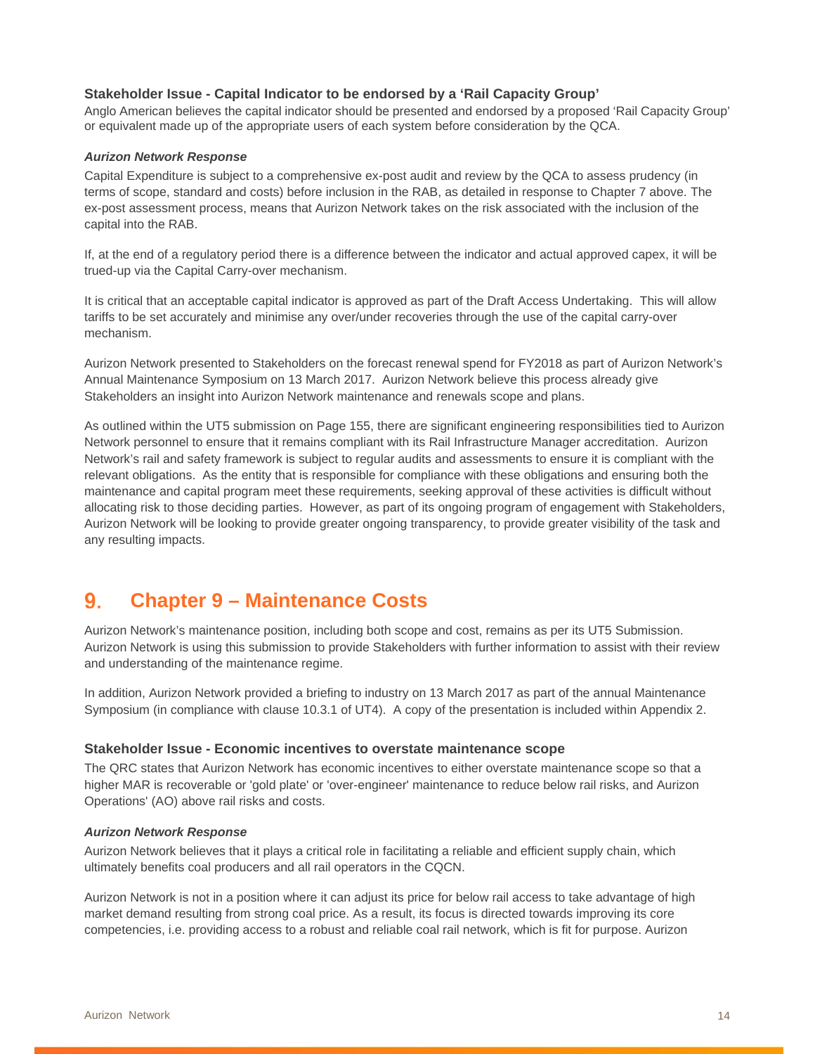#### **Stakeholder Issue - Capital Indicator to be endorsed by a 'Rail Capacity Group'**

Anglo American believes the capital indicator should be presented and endorsed by a proposed 'Rail Capacity Group' or equivalent made up of the appropriate users of each system before consideration by the QCA.

#### *Aurizon Network Response*

Capital Expenditure is subject to a comprehensive ex-post audit and review by the QCA to assess prudency (in terms of scope, standard and costs) before inclusion in the RAB, as detailed in response to Chapter 7 above. The ex-post assessment process, means that Aurizon Network takes on the risk associated with the inclusion of the capital into the RAB.

If, at the end of a regulatory period there is a difference between the indicator and actual approved capex, it will be trued-up via the Capital Carry-over mechanism.

It is critical that an acceptable capital indicator is approved as part of the Draft Access Undertaking. This will allow tariffs to be set accurately and minimise any over/under recoveries through the use of the capital carry-over mechanism.

Aurizon Network presented to Stakeholders on the forecast renewal spend for FY2018 as part of Aurizon Network's Annual Maintenance Symposium on 13 March 2017. Aurizon Network believe this process already give Stakeholders an insight into Aurizon Network maintenance and renewals scope and plans.

As outlined within the UT5 submission on Page 155, there are significant engineering responsibilities tied to Aurizon Network personnel to ensure that it remains compliant with its Rail Infrastructure Manager accreditation. Aurizon Network's rail and safety framework is subject to regular audits and assessments to ensure it is compliant with the relevant obligations. As the entity that is responsible for compliance with these obligations and ensuring both the maintenance and capital program meet these requirements, seeking approval of these activities is difficult without allocating risk to those deciding parties. However, as part of its ongoing program of engagement with Stakeholders, Aurizon Network will be looking to provide greater ongoing transparency, to provide greater visibility of the task and any resulting impacts.

# **Chapter 9 – Maintenance Costs**

Aurizon Network's maintenance position, including both scope and cost, remains as per its UT5 Submission. Aurizon Network is using this submission to provide Stakeholders with further information to assist with their review and understanding of the maintenance regime.

In addition, Aurizon Network provided a briefing to industry on 13 March 2017 as part of the annual Maintenance Symposium (in compliance with clause 10.3.1 of UT4). A copy of the presentation is included within Appendix 2.

#### **Stakeholder Issue - Economic incentives to overstate maintenance scope**

The QRC states that Aurizon Network has economic incentives to either overstate maintenance scope so that a higher MAR is recoverable or 'gold plate' or 'over-engineer' maintenance to reduce below rail risks, and Aurizon Operations' (AO) above rail risks and costs.

#### *Aurizon Network Response*

Aurizon Network believes that it plays a critical role in facilitating a reliable and efficient supply chain, which ultimately benefits coal producers and all rail operators in the CQCN.

Aurizon Network is not in a position where it can adjust its price for below rail access to take advantage of high market demand resulting from strong coal price. As a result, its focus is directed towards improving its core competencies, i.e. providing access to a robust and reliable coal rail network, which is fit for purpose. Aurizon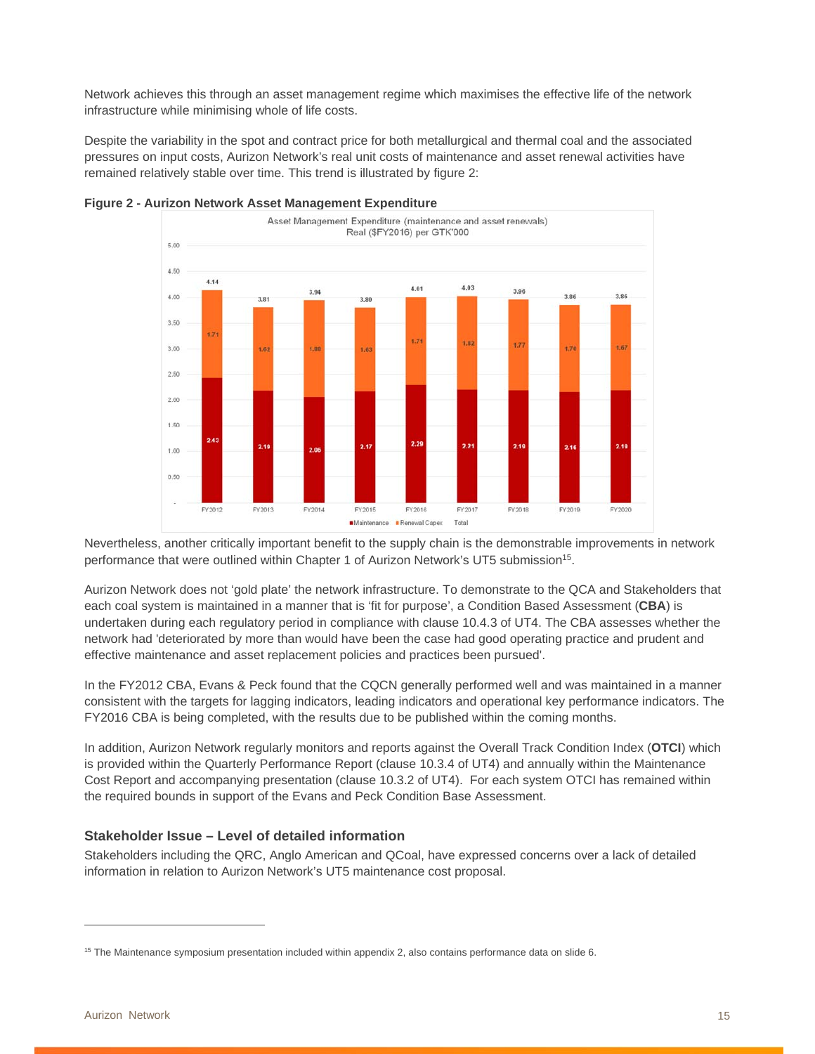Network achieves this through an asset management regime which maximises the effective life of the network infrastructure while minimising whole of life costs.

Despite the variability in the spot and contract price for both metallurgical and thermal coal and the associated pressures on input costs, Aurizon Network's real unit costs of maintenance and asset renewal activities have remained relatively stable over time. This trend is illustrated by figure 2:





Nevertheless, another critically important benefit to the supply chain is the demonstrable improvements in network performance that were outlined within Chapter 1 of Aurizon Network's UT5 submission15.

Aurizon Network does not 'gold plate' the network infrastructure. To demonstrate to the QCA and Stakeholders that each coal system is maintained in a manner that is 'fit for purpose', a Condition Based Assessment (**CBA**) is undertaken during each regulatory period in compliance with clause 10.4.3 of UT4. The CBA assesses whether the network had 'deteriorated by more than would have been the case had good operating practice and prudent and effective maintenance and asset replacement policies and practices been pursued'.

In the FY2012 CBA, Evans & Peck found that the CQCN generally performed well and was maintained in a manner consistent with the targets for lagging indicators, leading indicators and operational key performance indicators. The FY2016 CBA is being completed, with the results due to be published within the coming months.

In addition, Aurizon Network regularly monitors and reports against the Overall Track Condition Index (**OTCI**) which is provided within the Quarterly Performance Report (clause 10.3.4 of UT4) and annually within the Maintenance Cost Report and accompanying presentation (clause 10.3.2 of UT4). For each system OTCI has remained within the required bounds in support of the Evans and Peck Condition Base Assessment.

#### **Stakeholder Issue – Level of detailed information**

Stakeholders including the QRC, Anglo American and QCoal, have expressed concerns over a lack of detailed information in relation to Aurizon Network's UT5 maintenance cost proposal.

 $\overline{a}$ 

<sup>&</sup>lt;sup>15</sup> The Maintenance symposium presentation included within appendix 2, also contains performance data on slide 6.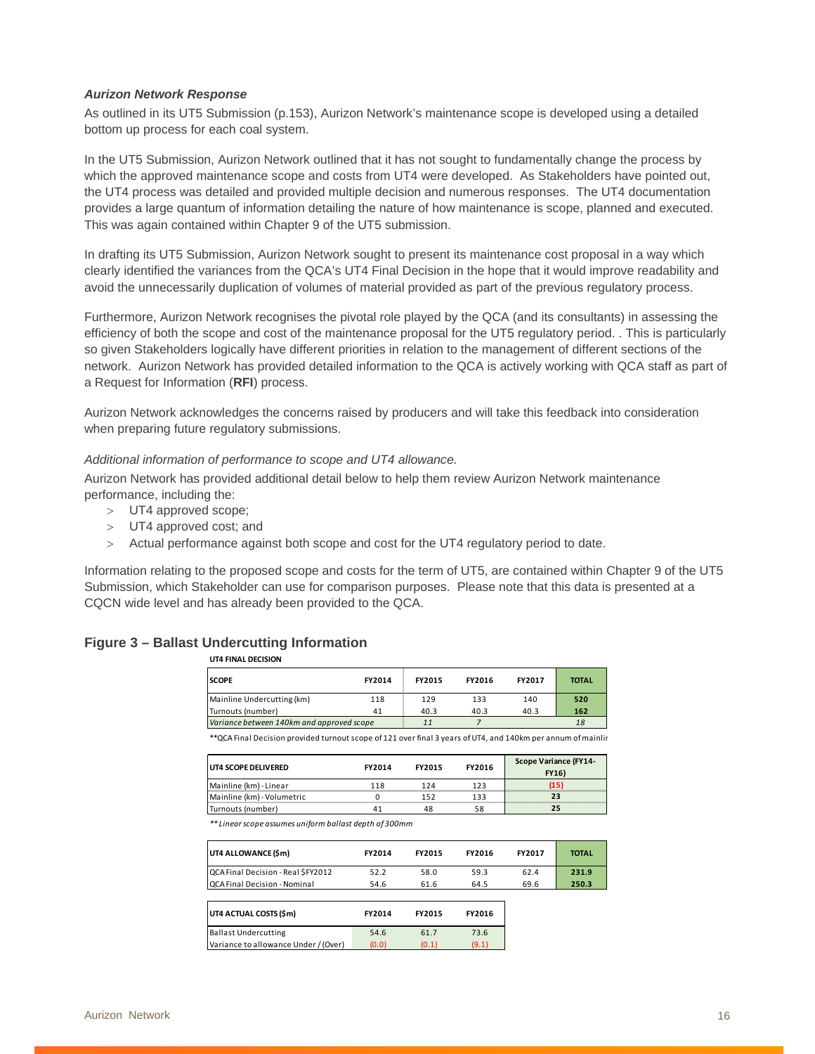#### *Aurizon Network Response*

As outlined in its UT5 Submission (p.153), Aurizon Network's maintenance scope is developed using a detailed bottom up process for each coal system.

In the UT5 Submission, Aurizon Network outlined that it has not sought to fundamentally change the process by which the approved maintenance scope and costs from UT4 were developed. As Stakeholders have pointed out, the UT4 process was detailed and provided multiple decision and numerous responses. The UT4 documentation provides a large quantum of information detailing the nature of how maintenance is scope, planned and executed. This was again contained within Chapter 9 of the UT5 submission.

In drafting its UT5 Submission, Aurizon Network sought to present its maintenance cost proposal in a way which clearly identified the variances from the QCA's UT4 Final Decision in the hope that it would improve readability and avoid the unnecessarily duplication of volumes of material provided as part of the previous regulatory process.

Furthermore, Aurizon Network recognises the pivotal role played by the QCA (and its consultants) in assessing the efficiency of both the scope and cost of the maintenance proposal for the UT5 regulatory period. . This is particularly so given Stakeholders logically have different priorities in relation to the management of different sections of the network. Aurizon Network has provided detailed information to the QCA is actively working with QCA staff as part of a Request for Information (**RFI**) process.

Aurizon Network acknowledges the concerns raised by producers and will take this feedback into consideration when preparing future regulatory submissions.

#### *Additional information of performance to scope and UT4 allowance.*

Aurizon Network has provided additional detail below to help them review Aurizon Network maintenance performance, including the:

- UT4 approved scope;
- > UT4 approved cost; and
- Actual performance against both scope and cost for the UT4 regulatory period to date.

Information relating to the proposed scope and costs for the term of UT5, are contained within Chapter 9 of the UT5 Submission, which Stakeholder can use for comparison purposes. Please note that this data is presented at a CQCN wide level and has already been provided to the QCA.

#### **Figure 3 – Ballast Undercutting Information**

**UT4 FINAL DECISION**

| <b>UI4 FINAL DECISION</b>                 |        |               |        |        |              |
|-------------------------------------------|--------|---------------|--------|--------|--------------|
| <b>SCOPE</b>                              | FY2014 | <b>FY2015</b> | FY2016 | FY2017 | <b>TOTAL</b> |
| Mainline Undercutting (km)                | 118    | 129           | 133    | 140    | 520          |
| Turnouts (number)                         | 41     | 40.3          | 40.3   | 40.3   | 162          |
| Variance between 140km and approved scope |        | 11            |        |        | 18           |

\*\* QCA Final Decision provided turnout scope of 121 over final 3 years of UT4, and 140km per annum of mainlin

| <b>UT4 SCOPE DELIVERED</b> | <b>FY2014</b> | <b>FY2015</b> | FY2016 | <b>Scope Variance (FY14-</b><br><b>FY16)</b> |
|----------------------------|---------------|---------------|--------|----------------------------------------------|
| Mainline (km) - Linear     | 118           | 124           | 123    | (15)                                         |
| Mainline (km) - Volumetric |               | 152           | 133    | 23                                           |
| Turnouts (number)          | 41            | 48            | 58     | 25                                           |

*\*\* Linear scope assumes uniform ballast depth of 300mm*

| UT4 ALLOWANCE (Śm)                   | FY2014 | <b>FY2015</b> | FY2016 | FY2017 | <b>TOTAL</b> |
|--------------------------------------|--------|---------------|--------|--------|--------------|
| OCA Final Decision - Real SFY2012    | 52.2   | 58.0          | 59.3   | 62.4   | 231.9        |
| <b>QCA Final Decision - Nominal</b>  | 54.6   | 61.6          | 64.5   | 69.6   | 250.3        |
| UT4 ACTUAL COSTS (\$m)               | FY2014 | <b>FY2015</b> | FY2016 |        |              |
| <b>Ballast Undercutting</b>          | 54.6   | 61.7          | 73.6   |        |              |
| Variance to allowance Under / (Over) | (0.0)  | (0.1)         | (9.1)  |        |              |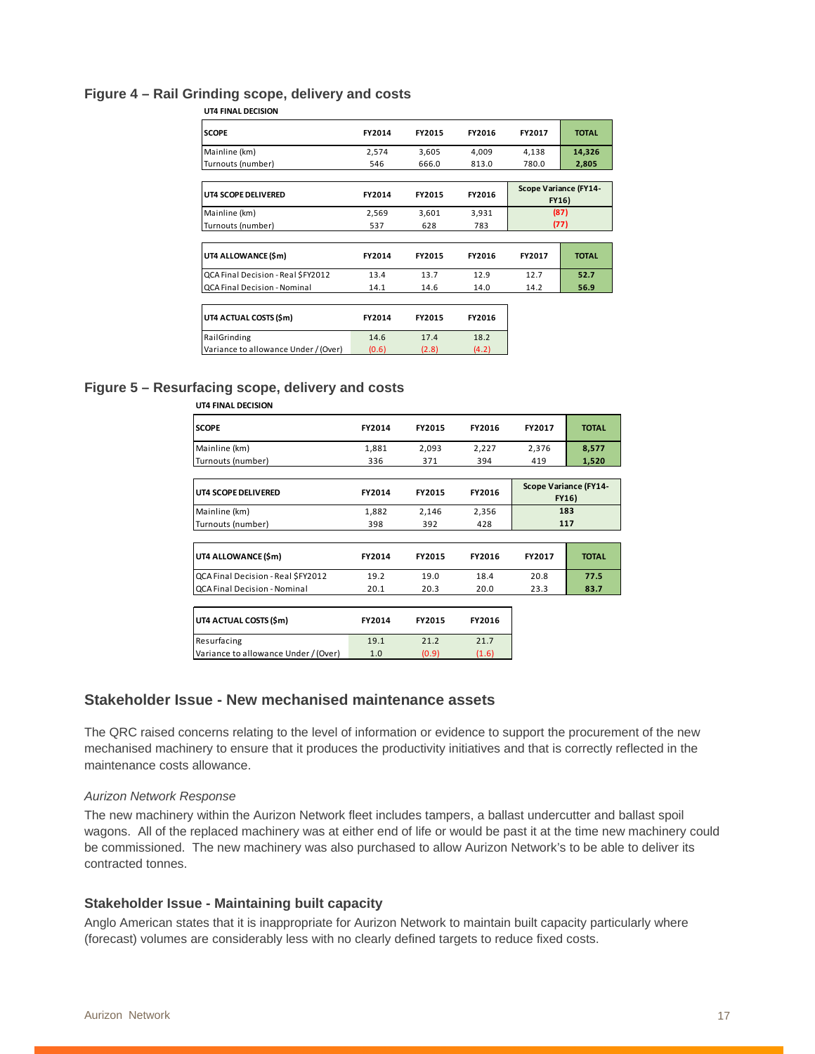#### **Figure 4 – Rail Grinding scope, delivery and costs**

| <b>SCOPE</b>                         | FY2014 | FY2015 | FY2016 | FY2017 | <b>TOTAL</b>                          |
|--------------------------------------|--------|--------|--------|--------|---------------------------------------|
| Mainline (km)                        | 2,574  | 3,605  | 4,009  | 4,138  | 14,326                                |
| Turnouts (number)                    | 546    | 666.0  | 813.0  | 780.0  | 2,805                                 |
| UT4 SCOPE DELIVERED                  | FY2014 | FY2015 | FY2016 |        | <b>Scope Variance (FY14-</b><br>FY16) |
| Mainline (km)                        | 2,569  | 3,601  | 3,931  | (87)   |                                       |
| Turnouts (number)                    | 537    | 628    | 783    |        | (77)                                  |
|                                      |        |        |        |        |                                       |
| UT4 ALLOWANCE (\$m)                  | FY2014 | FY2015 | FY2016 | FY2017 | <b>TOTAL</b>                          |
| QCA Final Decision - Real \$FY2012   | 13.4   | 13.7   | 12.9   | 12.7   | 52.7                                  |
| QCA Final Decision - Nominal         | 14.1   | 14.6   | 14.0   | 14.2   | 56.9                                  |
|                                      |        |        |        |        |                                       |
| UT4 ACTUAL COSTS (\$m)               | FY2014 | FY2015 | FY2016 |        |                                       |
| RailGrinding                         | 14.6   | 17.4   | 18.2   |        |                                       |
| Variance to allowance Under / (Over) | (0.6)  | (2.8)  | (4.2)  |        |                                       |

#### **UT4 FINAL DECISION**

#### **Figure 5 – Resurfacing scope, delivery and costs**

| ,,,,,,,,,,,,,,,,,,,,,,,,             |        |        |        |                                       |              |
|--------------------------------------|--------|--------|--------|---------------------------------------|--------------|
| <b>SCOPE</b>                         | FY2014 | FY2015 | FY2016 | FY2017                                | <b>TOTAL</b> |
| Mainline (km)                        | 1,881  | 2,093  | 2,227  | 2,376                                 | 8,577        |
| Turnouts (number)                    | 336    | 371    | 394    | 419                                   | 1,520        |
|                                      |        |        |        |                                       |              |
| UT4 SCOPE DELIVERED                  | FY2014 | FY2015 | FY2016 | <b>Scope Variance (FY14-</b><br>FY16) |              |
| Mainline (km)                        | 1,882  | 2,146  | 2,356  | 183                                   |              |
| Turnouts (number)                    | 398    | 392    | 428    | 117                                   |              |
|                                      |        |        |        |                                       |              |
| UT4 ALLOWANCE (\$m)                  | FY2014 | FY2015 | FY2016 | FY2017                                | <b>TOTAL</b> |
| QCA Final Decision - Real \$FY2012   | 19.2   | 19.0   | 18.4   | 20.8                                  | 77.5         |
| QCA Final Decision - Nominal         | 20.1   | 20.3   | 20.0   | 23.3                                  | 83.7         |
|                                      |        |        |        |                                       |              |
| UT4 ACTUAL COSTS (\$m)               | FY2014 | FY2015 | FY2016 |                                       |              |
| Resurfacing                          | 19.1   | 21.2   | 21.7   |                                       |              |
| Variance to allowance Under / (Over) | 1.0    | (0.9)  | (1.6)  |                                       |              |
|                                      |        |        |        |                                       |              |

### **UT4 FINAL DECISION**

#### **Stakeholder Issue - New mechanised maintenance assets**

The QRC raised concerns relating to the level of information or evidence to support the procurement of the new mechanised machinery to ensure that it produces the productivity initiatives and that is correctly reflected in the maintenance costs allowance.

#### *Aurizon Network Response*

The new machinery within the Aurizon Network fleet includes tampers, a ballast undercutter and ballast spoil wagons. All of the replaced machinery was at either end of life or would be past it at the time new machinery could be commissioned. The new machinery was also purchased to allow Aurizon Network's to be able to deliver its contracted tonnes.

#### **Stakeholder Issue - Maintaining built capacity**

Anglo American states that it is inappropriate for Aurizon Network to maintain built capacity particularly where (forecast) volumes are considerably less with no clearly defined targets to reduce fixed costs.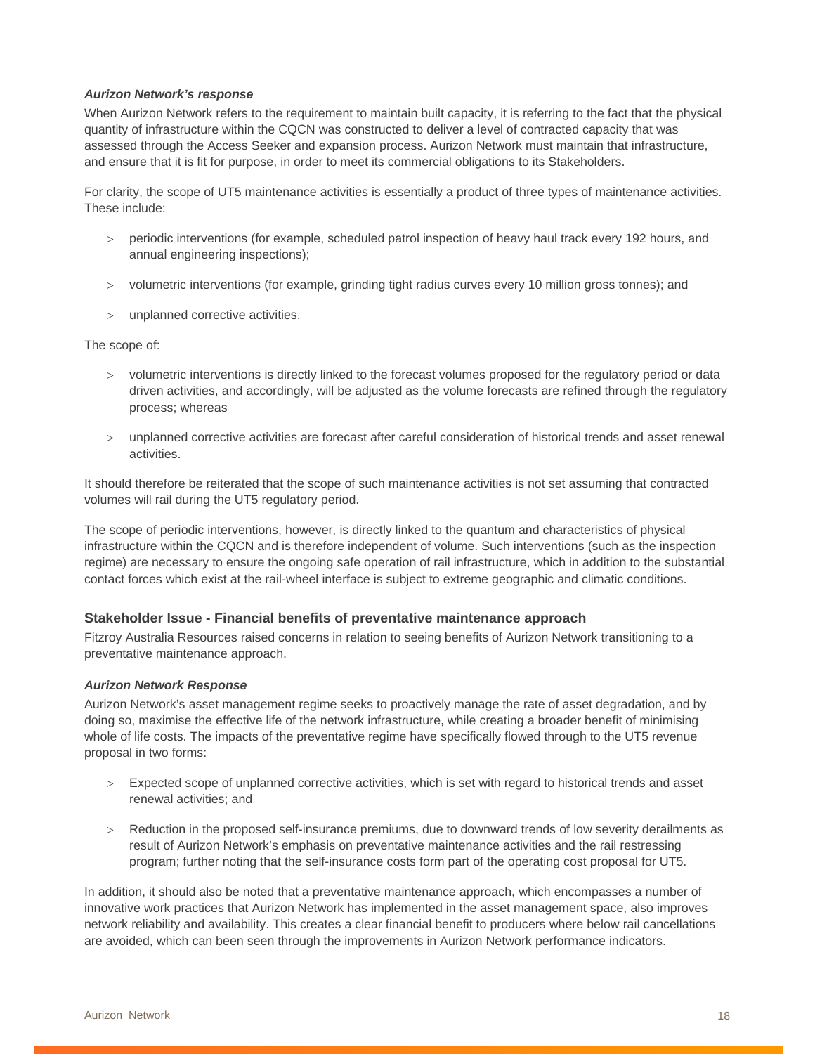#### *Aurizon Network's response*

When Aurizon Network refers to the requirement to maintain built capacity, it is referring to the fact that the physical quantity of infrastructure within the CQCN was constructed to deliver a level of contracted capacity that was assessed through the Access Seeker and expansion process. Aurizon Network must maintain that infrastructure, and ensure that it is fit for purpose, in order to meet its commercial obligations to its Stakeholders.

For clarity, the scope of UT5 maintenance activities is essentially a product of three types of maintenance activities. These include:

- periodic interventions (for example, scheduled patrol inspection of heavy haul track every 192 hours, and annual engineering inspections);
- volumetric interventions (for example, grinding tight radius curves every 10 million gross tonnes); and
- unplanned corrective activities.

The scope of:

- volumetric interventions is directly linked to the forecast volumes proposed for the regulatory period or data driven activities, and accordingly, will be adjusted as the volume forecasts are refined through the regulatory process; whereas
- unplanned corrective activities are forecast after careful consideration of historical trends and asset renewal activities.

It should therefore be reiterated that the scope of such maintenance activities is not set assuming that contracted volumes will rail during the UT5 regulatory period.

The scope of periodic interventions, however, is directly linked to the quantum and characteristics of physical infrastructure within the CQCN and is therefore independent of volume. Such interventions (such as the inspection regime) are necessary to ensure the ongoing safe operation of rail infrastructure, which in addition to the substantial contact forces which exist at the rail-wheel interface is subject to extreme geographic and climatic conditions.

#### **Stakeholder Issue - Financial benefits of preventative maintenance approach**

Fitzroy Australia Resources raised concerns in relation to seeing benefits of Aurizon Network transitioning to a preventative maintenance approach.

#### *Aurizon Network Response*

Aurizon Network's asset management regime seeks to proactively manage the rate of asset degradation, and by doing so, maximise the effective life of the network infrastructure, while creating a broader benefit of minimising whole of life costs. The impacts of the preventative regime have specifically flowed through to the UT5 revenue proposal in two forms:

- Expected scope of unplanned corrective activities, which is set with regard to historical trends and asset renewal activities; and
- Reduction in the proposed self-insurance premiums, due to downward trends of low severity derailments as result of Aurizon Network's emphasis on preventative maintenance activities and the rail restressing program; further noting that the self-insurance costs form part of the operating cost proposal for UT5.

In addition, it should also be noted that a preventative maintenance approach, which encompasses a number of innovative work practices that Aurizon Network has implemented in the asset management space, also improves network reliability and availability. This creates a clear financial benefit to producers where below rail cancellations are avoided, which can been seen through the improvements in Aurizon Network performance indicators.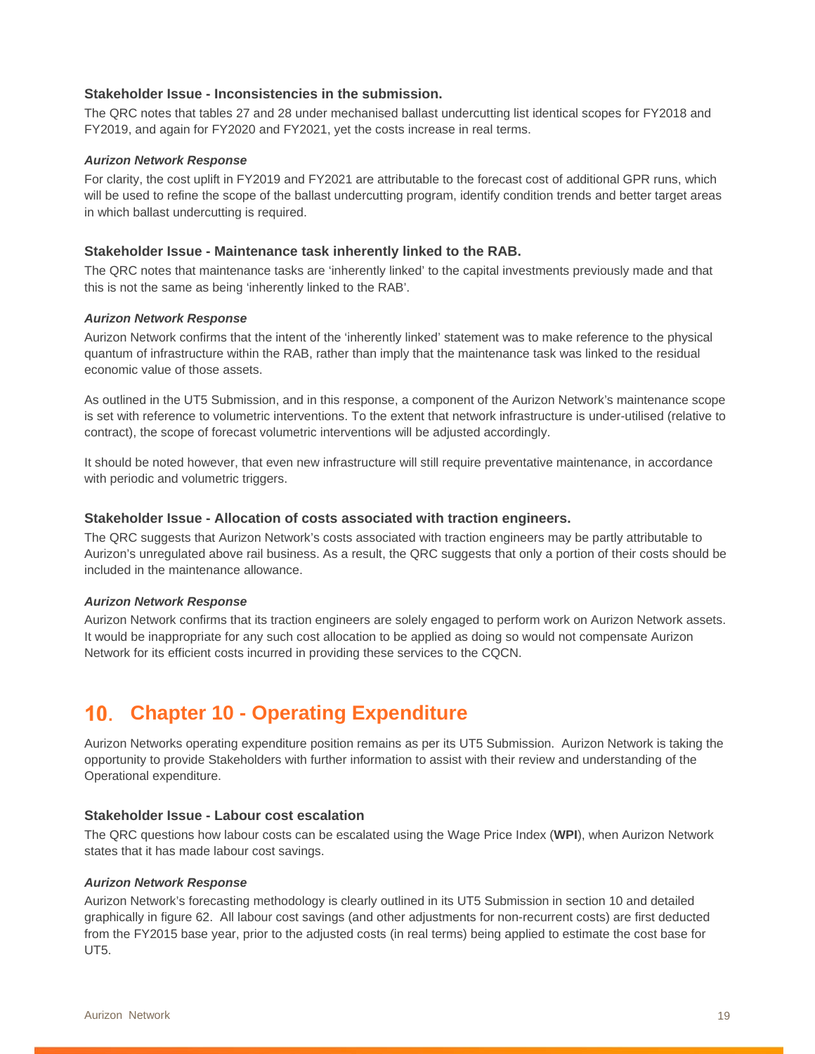#### **Stakeholder Issue - Inconsistencies in the submission.**

The QRC notes that tables 27 and 28 under mechanised ballast undercutting list identical scopes for FY2018 and FY2019, and again for FY2020 and FY2021, yet the costs increase in real terms.

#### *Aurizon Network Response*

For clarity, the cost uplift in FY2019 and FY2021 are attributable to the forecast cost of additional GPR runs, which will be used to refine the scope of the ballast undercutting program, identify condition trends and better target areas in which ballast undercutting is required.

#### **Stakeholder Issue - Maintenance task inherently linked to the RAB.**

The QRC notes that maintenance tasks are 'inherently linked' to the capital investments previously made and that this is not the same as being 'inherently linked to the RAB'.

#### *Aurizon Network Response*

Aurizon Network confirms that the intent of the 'inherently linked' statement was to make reference to the physical quantum of infrastructure within the RAB, rather than imply that the maintenance task was linked to the residual economic value of those assets.

As outlined in the UT5 Submission, and in this response, a component of the Aurizon Network's maintenance scope is set with reference to volumetric interventions. To the extent that network infrastructure is under-utilised (relative to contract), the scope of forecast volumetric interventions will be adjusted accordingly.

It should be noted however, that even new infrastructure will still require preventative maintenance, in accordance with periodic and volumetric triggers.

#### **Stakeholder Issue - Allocation of costs associated with traction engineers.**

The QRC suggests that Aurizon Network's costs associated with traction engineers may be partly attributable to Aurizon's unregulated above rail business. As a result, the QRC suggests that only a portion of their costs should be included in the maintenance allowance.

#### *Aurizon Network Response*

Aurizon Network confirms that its traction engineers are solely engaged to perform work on Aurizon Network assets. It would be inappropriate for any such cost allocation to be applied as doing so would not compensate Aurizon Network for its efficient costs incurred in providing these services to the CQCN.

### **Chapter 10 - Operating Expenditure**

Aurizon Networks operating expenditure position remains as per its UT5 Submission. Aurizon Network is taking the opportunity to provide Stakeholders with further information to assist with their review and understanding of the Operational expenditure.

#### **Stakeholder Issue - Labour cost escalation**

The QRC questions how labour costs can be escalated using the Wage Price Index (**WPI**), when Aurizon Network states that it has made labour cost savings.

#### *Aurizon Network Response*

Aurizon Network's forecasting methodology is clearly outlined in its UT5 Submission in section 10 and detailed graphically in figure 62. All labour cost savings (and other adjustments for non-recurrent costs) are first deducted from the FY2015 base year, prior to the adjusted costs (in real terms) being applied to estimate the cost base for  $UT5.$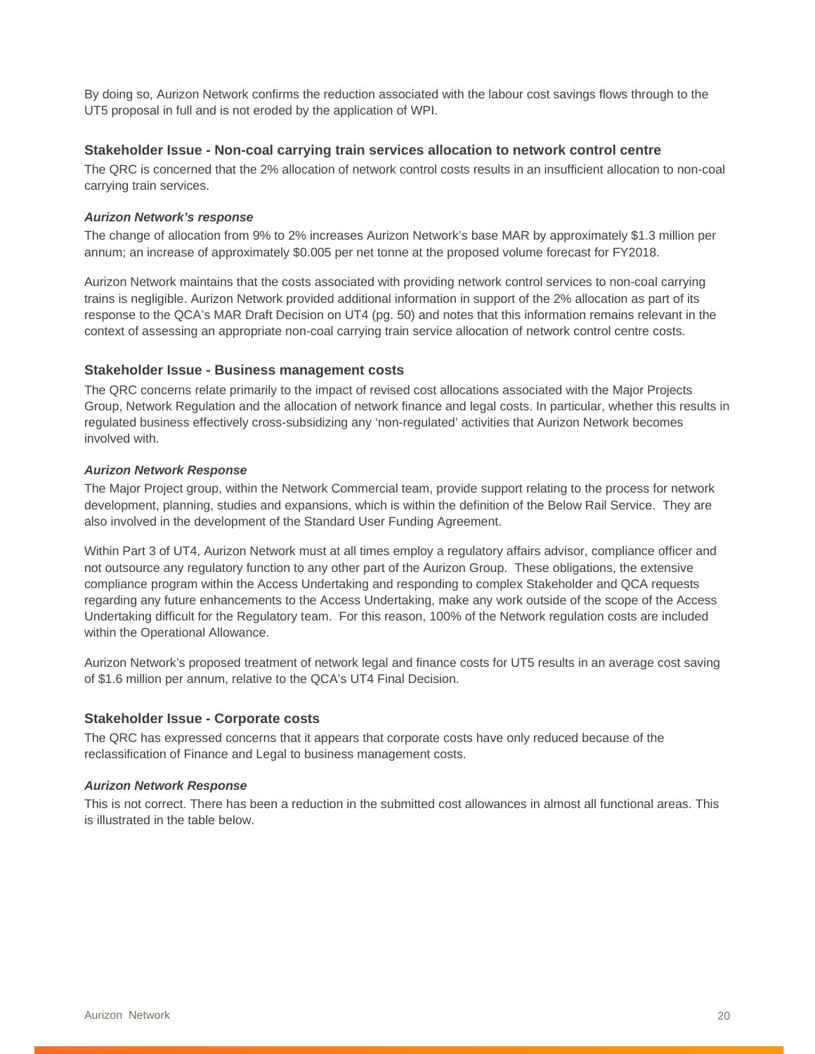By doing so, Aurizon Network confirms the reduction associated with the labour cost savings flows through to the UT5 proposal in full and is not eroded by the application of WPI.

#### **Stakeholder Issue - Non-coal carrying train services allocation to network control centre**

The QRC is concerned that the 2% allocation of network control costs results in an insufficient allocation to non-coal carrying train services.

#### *Aurizon Network's response*

The change of allocation from 9% to 2% increases Aurizon Network's base MAR by approximately \$1.3 million per annum; an increase of approximately \$0.005 per net tonne at the proposed volume forecast for FY2018.

Aurizon Network maintains that the costs associated with providing network control services to non-coal carrying trains is negligible. Aurizon Network provided additional information in support of the 2% allocation as part of its response to the QCA's MAR Draft Decision on UT4 (pg. 50) and notes that this information remains relevant in the context of assessing an appropriate non-coal carrying train service allocation of network control centre costs.

#### **Stakeholder Issue - Business management costs**

The QRC concerns relate primarily to the impact of revised cost allocations associated with the Major Projects Group, Network Regulation and the allocation of network finance and legal costs. In particular, whether this results in regulated business effectively cross-subsidizing any 'non-regulated' activities that Aurizon Network becomes involved with.

#### *Aurizon Network Response*

The Major Project group, within the Network Commercial team, provide support relating to the process for network development, planning, studies and expansions, which is within the definition of the Below Rail Service. They are also involved in the development of the Standard User Funding Agreement.

Within Part 3 of UT4, Aurizon Network must at all times employ a regulatory affairs advisor, compliance officer and not outsource any regulatory function to any other part of the Aurizon Group. These obligations, the extensive compliance program within the Access Undertaking and responding to complex Stakeholder and QCA requests regarding any future enhancements to the Access Undertaking, make any work outside of the scope of the Access Undertaking difficult for the Regulatory team. For this reason, 100% of the Network regulation costs are included within the Operational Allowance.

Aurizon Network's proposed treatment of network legal and finance costs for UT5 results in an average cost saving of \$1.6 million per annum, relative to the QCA's UT4 Final Decision.

#### **Stakeholder Issue - Corporate costs**

The QRC has expressed concerns that it appears that corporate costs have only reduced because of the reclassification of Finance and Legal to business management costs.

#### *Aurizon Network Response*

This is not correct. There has been a reduction in the submitted cost allowances in almost all functional areas. This is illustrated in the table below.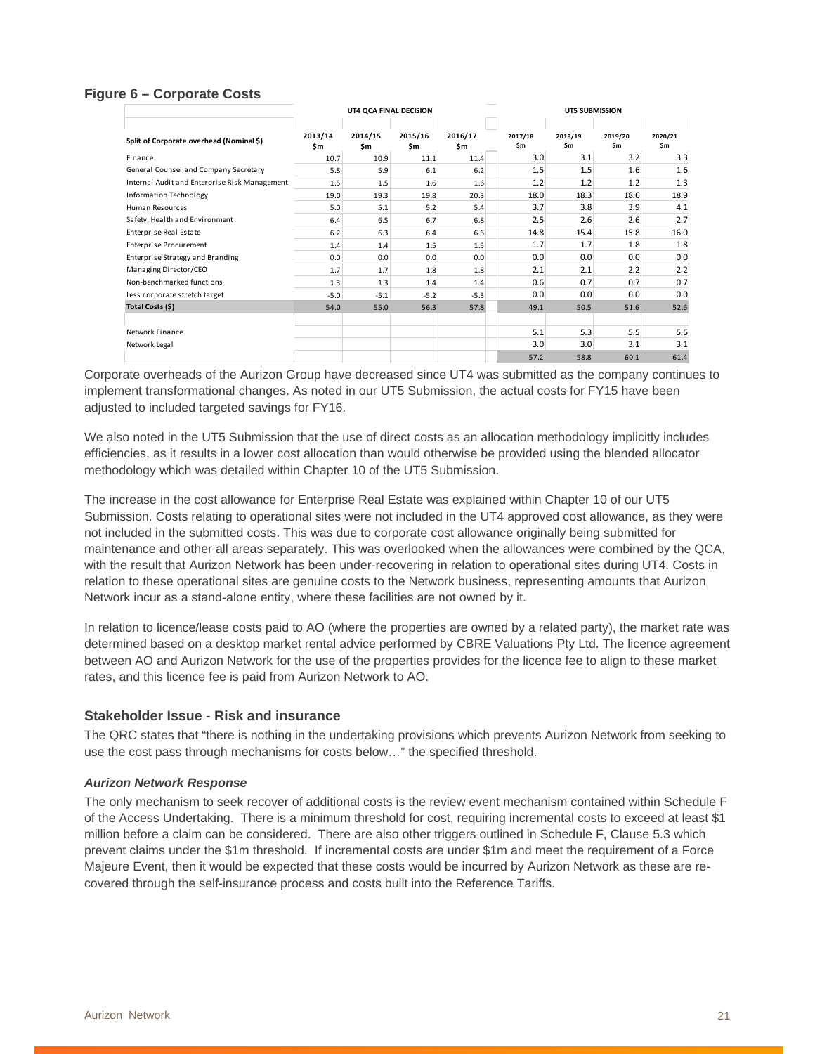#### **Figure 6 – Corporate Costs**

|                                               | UT4 QCA FINAL DECISION |                |                |                | UT5 SUBMISSION |                |                |                |
|-----------------------------------------------|------------------------|----------------|----------------|----------------|----------------|----------------|----------------|----------------|
| Split of Corporate overhead (Nominal \$)      | 2013/14<br>\$m         | 2014/15<br>\$m | 2015/16<br>\$m | 2016/17<br>\$m | 2017/18<br>\$m | 2018/19<br>\$m | 2019/20<br>\$m | 2020/21<br>\$m |
| Finance                                       | 10.7                   | 10.9           | 11.1           | 11.4           | 3.0            | 3.1            | 3.2            | 3.3            |
| General Counsel and Company Secretary         | 5.8                    | 5.9            | 6.1            | 6.2            | 1.5            | 1.5            | 1.6            | 1.6            |
| Internal Audit and Enterprise Risk Management | 1.5                    | 1.5            | 1.6            | 1.6            | 1.2            | 1.2            | 1.2            | 1.3            |
| <b>Information Technology</b>                 | 19.0                   | 19.3           | 19.8           | 20.3           | 18.0           | 18.3           | 18.6           | 18.9           |
| Human Resources                               | 5.0                    | 5.1            | 5.2            | 5.4            | 3.7            | 3.8            | 3.9            | 4.1            |
| Safety, Health and Environment                | 6.4                    | 6.5            | 6.7            | 6.8            | 2.5            | 2.6            | 2.6            | 2.7            |
| Enterprise Real Estate                        | 6.2                    | 6.3            | 6.4            | 6.6            | 14.8           | 15.4           | 15.8           | 16.0           |
| <b>Enterprise Procurement</b>                 | 1.4                    | 1.4            | 1.5            | 1.5            | 1.7            | 1.7            | 1.8            | 1.8            |
| Enterprise Strategy and Branding              | 0.0                    | 0.0            | 0.0            | 0.0            | 0.0            | 0.0            | 0.0            | 0.0            |
| Managing Director/CEO                         | 1.7                    | 1.7            | 1.8            | 1.8            | 2.1            | 2.1            | 2.2            | 2.2            |
| Non-benchmarked functions                     | 1.3                    | 1.3            | 1.4            | 1.4            | 0.6            | 0.7            | 0.7            | 0.7            |
| Less corporate stretch target                 | $-5.0$                 | $-5.1$         | $-5.2$         | $-5.3$         | 0.0            | 0.0            | 0.0            | 0.0            |
| Total Costs (\$)                              | 54.0                   | 55.0           | 56.3           | 57.8           | 49.1           | 50.5           | 51.6           | 52.6           |
| Network Finance                               |                        |                |                |                | 5.1            | 5.3            | 5.5            | 5.6            |
| Network Legal                                 |                        |                |                |                | 3.0            | 3.0            | 3.1            | 3.1            |
|                                               |                        |                |                |                | 57.2           | 58.8           | 60.1           | 61.4           |

Corporate overheads of the Aurizon Group have decreased since UT4 was submitted as the company continues to implement transformational changes. As noted in our UT5 Submission, the actual costs for FY15 have been adjusted to included targeted savings for FY16.

We also noted in the UT5 Submission that the use of direct costs as an allocation methodology implicitly includes efficiencies, as it results in a lower cost allocation than would otherwise be provided using the blended allocator methodology which was detailed within Chapter 10 of the UT5 Submission.

The increase in the cost allowance for Enterprise Real Estate was explained within Chapter 10 of our UT5 Submission. Costs relating to operational sites were not included in the UT4 approved cost allowance, as they were not included in the submitted costs. This was due to corporate cost allowance originally being submitted for maintenance and other all areas separately. This was overlooked when the allowances were combined by the QCA, with the result that Aurizon Network has been under-recovering in relation to operational sites during UT4. Costs in relation to these operational sites are genuine costs to the Network business, representing amounts that Aurizon Network incur as a stand-alone entity, where these facilities are not owned by it.

In relation to licence/lease costs paid to AO (where the properties are owned by a related party), the market rate was determined based on a desktop market rental advice performed by CBRE Valuations Pty Ltd. The licence agreement between AO and Aurizon Network for the use of the properties provides for the licence fee to align to these market rates, and this licence fee is paid from Aurizon Network to AO.

#### **Stakeholder Issue - Risk and insurance**

The QRC states that "there is nothing in the undertaking provisions which prevents Aurizon Network from seeking to use the cost pass through mechanisms for costs below…" the specified threshold.

#### *Aurizon Network Response*

The only mechanism to seek recover of additional costs is the review event mechanism contained within Schedule F of the Access Undertaking. There is a minimum threshold for cost, requiring incremental costs to exceed at least \$1 million before a claim can be considered. There are also other triggers outlined in Schedule F, Clause 5.3 which prevent claims under the \$1m threshold. If incremental costs are under \$1m and meet the requirement of a Force Majeure Event, then it would be expected that these costs would be incurred by Aurizon Network as these are recovered through the self-insurance process and costs built into the Reference Tariffs.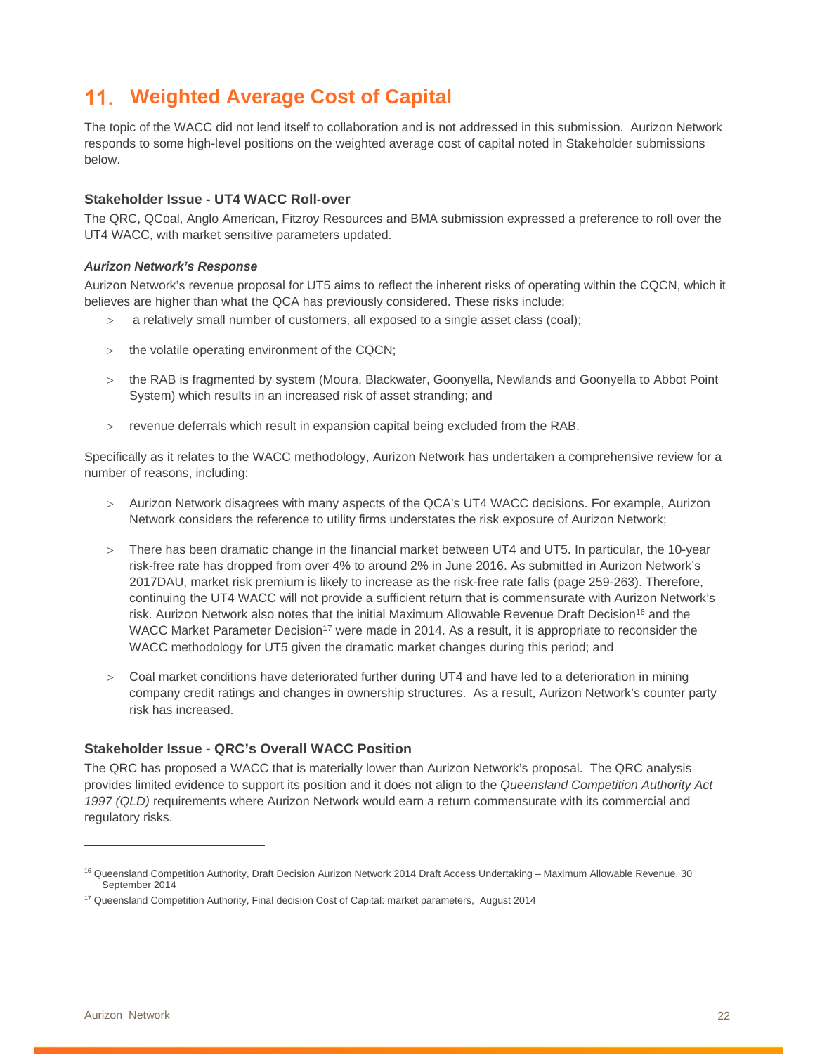# **11. Weighted Average Cost of Capital**

The topic of the WACC did not lend itself to collaboration and is not addressed in this submission. Aurizon Network responds to some high-level positions on the weighted average cost of capital noted in Stakeholder submissions below.

#### **Stakeholder Issue - UT4 WACC Roll-over**

The QRC, QCoal, Anglo American, Fitzroy Resources and BMA submission expressed a preference to roll over the UT4 WACC, with market sensitive parameters updated.

#### *Aurizon Network's Response*

Aurizon Network's revenue proposal for UT5 aims to reflect the inherent risks of operating within the CQCN, which it believes are higher than what the QCA has previously considered. These risks include:

- a relatively small number of customers, all exposed to a single asset class (coal);
- the volatile operating environment of the CQCN;
- > the RAB is fragmented by system (Moura, Blackwater, Goonyella, Newlands and Goonyella to Abbot Point System) which results in an increased risk of asset stranding; and
- revenue deferrals which result in expansion capital being excluded from the RAB.

Specifically as it relates to the WACC methodology, Aurizon Network has undertaken a comprehensive review for a number of reasons, including:

- Aurizon Network disagrees with many aspects of the QCA's UT4 WACC decisions. For example, Aurizon Network considers the reference to utility firms understates the risk exposure of Aurizon Network;
- There has been dramatic change in the financial market between UT4 and UT5. In particular, the 10-year risk-free rate has dropped from over 4% to around 2% in June 2016. As submitted in Aurizon Network's 2017DAU, market risk premium is likely to increase as the risk-free rate falls (page 259-263). Therefore, continuing the UT4 WACC will not provide a sufficient return that is commensurate with Aurizon Network's risk. Aurizon Network also notes that the initial Maximum Allowable Revenue Draft Decision<sup>16</sup> and the WACC Market Parameter Decision<sup>17</sup> were made in 2014. As a result, it is appropriate to reconsider the WACC methodology for UT5 given the dramatic market changes during this period; and
- Coal market conditions have deteriorated further during UT4 and have led to a deterioration in mining company credit ratings and changes in ownership structures. As a result, Aurizon Network's counter party risk has increased.

#### **Stakeholder Issue - QRC's Overall WACC Position**

The QRC has proposed a WACC that is materially lower than Aurizon Network's proposal. The QRC analysis provides limited evidence to support its position and it does not align to the *Queensland Competition Authority Act 1997 (QLD)* requirements where Aurizon Network would earn a return commensurate with its commercial and regulatory risks.

 $\overline{a}$ 

<sup>&</sup>lt;sup>16</sup> Queensland Competition Authority, Draft Decision Aurizon Network 2014 Draft Access Undertaking - Maximum Allowable Revenue, 30 September 2014

<sup>&</sup>lt;sup>17</sup> Queensland Competition Authority, Final decision Cost of Capital: market parameters, August 2014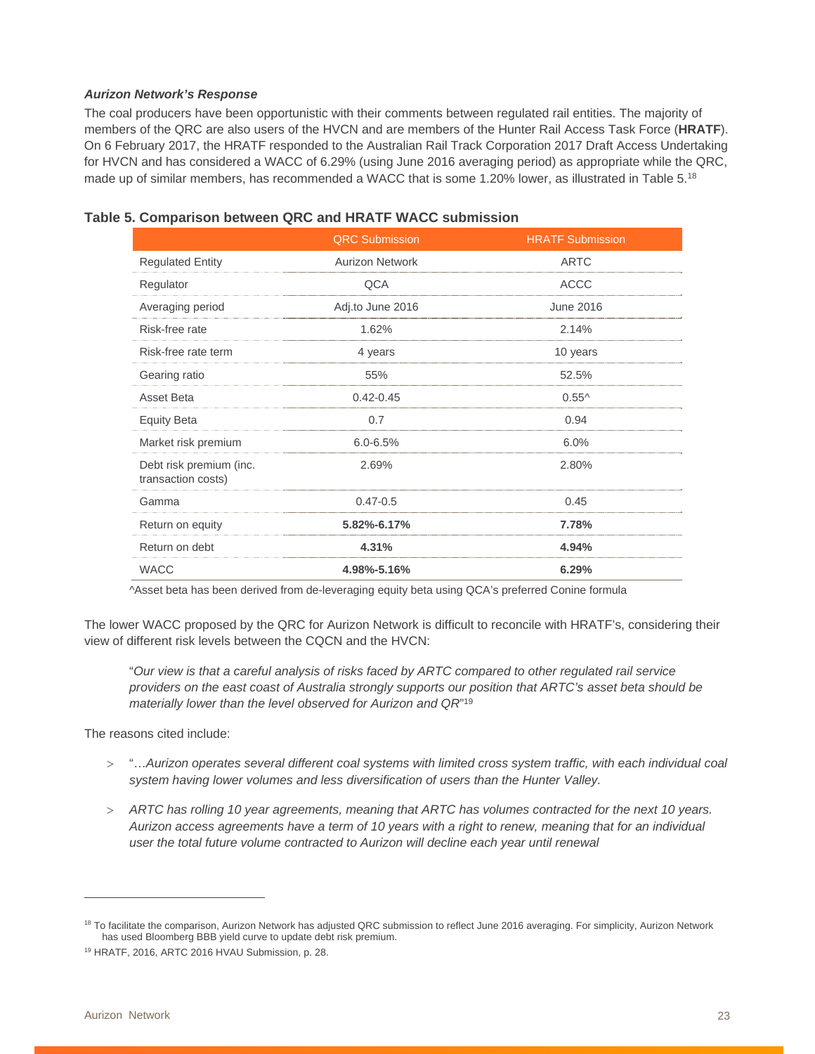#### *Aurizon Network's Response*

The coal producers have been opportunistic with their comments between regulated rail entities. The majority of members of the QRC are also users of the HVCN and are members of the Hunter Rail Access Task Force (**HRATF**). On 6 February 2017, the HRATF responded to the Australian Rail Track Corporation 2017 Draft Access Undertaking for HVCN and has considered a WACC of 6.29% (using June 2016 averaging period) as appropriate while the QRC, made up of similar members, has recommended a WACC that is some 1.20% lower, as illustrated in Table 5.18

#### **Table 5. Comparison between QRC and HRATF WACC submission**

|                                               | <b>QRC Submission</b>  | <b>HRATF Submission</b> |
|-----------------------------------------------|------------------------|-------------------------|
| <b>Regulated Entity</b>                       | <b>Aurizon Network</b> | <b>ARTC</b>             |
| Regulator                                     | QCA                    | <b>ACCC</b>             |
| Averaging period                              | Adj.to June 2016       | June 2016               |
| Risk-free rate                                | 1.62%                  | 2.14%                   |
| Risk-free rate term                           | 4 years                | 10 years                |
| Gearing ratio                                 | 55%                    | 52.5%                   |
| Asset Beta                                    | $0.42 - 0.45$          | $0.55^{\wedge}$         |
| <b>Equity Beta</b>                            | 0.7                    | 0.94                    |
| Market risk premium                           | $6.0 - 6.5%$           | 6.0%                    |
| Debt risk premium (inc.<br>transaction costs) | 2.69%                  | 2.80%                   |
| Gamma                                         | $0.47 - 0.5$           | 0.45                    |
| Return on equity                              | 5.82%-6.17%            | 7.78%                   |
| Return on debt                                | 4.31%                  | 4.94%                   |
| <b>WACC</b>                                   | 4.98%-5.16%            | 6.29%                   |

^Asset beta has been derived from de-leveraging equity beta using QCA's preferred Conine formula

The lower WACC proposed by the QRC for Aurizon Network is difficult to reconcile with HRATF's, considering their view of different risk levels between the CQCN and the HVCN:

"*Our view is that a careful analysis of risks faced by ARTC compared to other regulated rail service providers on the east coast of Australia strongly supports our position that ARTC's asset beta should be materially lower than the level observed for Aurizon and QR*"19

The reasons cited include:

- "…*Aurizon operates several different coal systems with limited cross system traffic, with each individual coal system having lower volumes and less diversification of users than the Hunter Valley.*
- *ARTC has rolling 10 year agreements, meaning that ARTC has volumes contracted for the next 10 years. Aurizon access agreements have a term of 10 years with a right to renew, meaning that for an individual user the total future volume contracted to Aurizon will decline each year until renewal*

<sup>&</sup>lt;sup>18</sup> To facilitate the comparison, Aurizon Network has adjusted QRC submission to reflect June 2016 averaging. For simplicity, Aurizon Network has used Bloomberg BBB yield curve to update debt risk premium.

<sup>19</sup> HRATF, 2016, ARTC 2016 HVAU Submission, p. 28.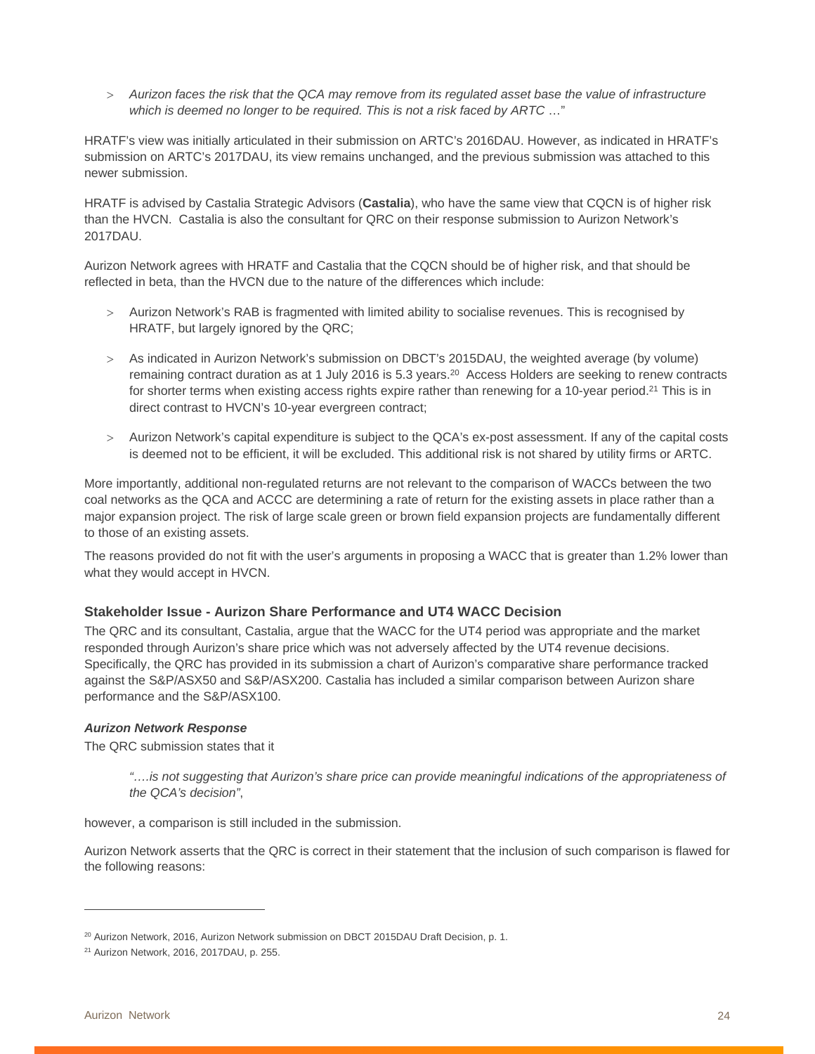*Aurizon faces the risk that the QCA may remove from its regulated asset base the value of infrastructure which is deemed no longer to be required. This is not a risk faced by ARTC* …"

HRATF's view was initially articulated in their submission on ARTC's 2016DAU. However, as indicated in HRATF's submission on ARTC's 2017DAU, its view remains unchanged, and the previous submission was attached to this newer submission.

HRATF is advised by Castalia Strategic Advisors (**Castalia**), who have the same view that CQCN is of higher risk than the HVCN. Castalia is also the consultant for QRC on their response submission to Aurizon Network's 2017DAU.

Aurizon Network agrees with HRATF and Castalia that the CQCN should be of higher risk, and that should be reflected in beta, than the HVCN due to the nature of the differences which include:

- Aurizon Network's RAB is fragmented with limited ability to socialise revenues. This is recognised by HRATF, but largely ignored by the QRC;
- As indicated in Aurizon Network's submission on DBCT's 2015DAU, the weighted average (by volume) remaining contract duration as at 1 July 2016 is 5.3 years.20 Access Holders are seeking to renew contracts for shorter terms when existing access rights expire rather than renewing for a 10-year period.<sup>21</sup> This is in direct contrast to HVCN's 10-year evergreen contract;
- Aurizon Network's capital expenditure is subject to the QCA's ex-post assessment. If any of the capital costs is deemed not to be efficient, it will be excluded. This additional risk is not shared by utility firms or ARTC.

More importantly, additional non-regulated returns are not relevant to the comparison of WACCs between the two coal networks as the QCA and ACCC are determining a rate of return for the existing assets in place rather than a major expansion project. The risk of large scale green or brown field expansion projects are fundamentally different to those of an existing assets.

The reasons provided do not fit with the user's arguments in proposing a WACC that is greater than 1.2% lower than what they would accept in HVCN.

#### **Stakeholder Issue - Aurizon Share Performance and UT4 WACC Decision**

The QRC and its consultant, Castalia, argue that the WACC for the UT4 period was appropriate and the market responded through Aurizon's share price which was not adversely affected by the UT4 revenue decisions. Specifically, the QRC has provided in its submission a chart of Aurizon's comparative share performance tracked against the S&P/ASX50 and S&P/ASX200. Castalia has included a similar comparison between Aurizon share performance and the S&P/ASX100.

#### *Aurizon Network Response*

The QRC submission states that it

*"….is not suggesting that Aurizon's share price can provide meaningful indications of the appropriateness of the QCA's decision"*,

however, a comparison is still included in the submission.

Aurizon Network asserts that the QRC is correct in their statement that the inclusion of such comparison is flawed for the following reasons:

<sup>&</sup>lt;sup>20</sup> Aurizon Network, 2016, Aurizon Network submission on DBCT 2015DAU Draft Decision, p. 1.

<sup>21</sup> Aurizon Network, 2016, 2017DAU, p. 255.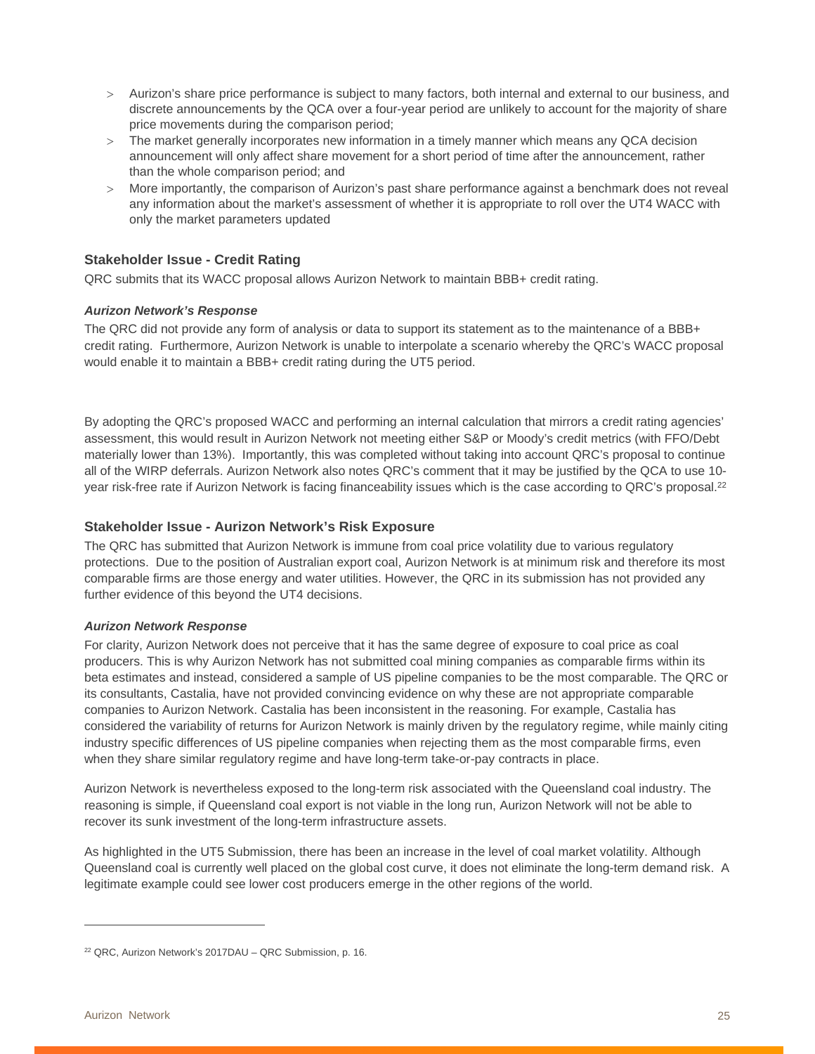- Aurizon's share price performance is subject to many factors, both internal and external to our business, and discrete announcements by the QCA over a four-year period are unlikely to account for the majority of share price movements during the comparison period;
- The market generally incorporates new information in a timely manner which means any QCA decision announcement will only affect share movement for a short period of time after the announcement, rather than the whole comparison period; and
- More importantly, the comparison of Aurizon's past share performance against a benchmark does not reveal any information about the market's assessment of whether it is appropriate to roll over the UT4 WACC with only the market parameters updated

#### **Stakeholder Issue - Credit Rating**

QRC submits that its WACC proposal allows Aurizon Network to maintain BBB+ credit rating.

#### *Aurizon Network's Response*

The QRC did not provide any form of analysis or data to support its statement as to the maintenance of a BBB+ credit rating. Furthermore, Aurizon Network is unable to interpolate a scenario whereby the QRC's WACC proposal would enable it to maintain a BBB+ credit rating during the UT5 period.

By adopting the QRC's proposed WACC and performing an internal calculation that mirrors a credit rating agencies' assessment, this would result in Aurizon Network not meeting either S&P or Moody's credit metrics (with FFO/Debt materially lower than 13%). Importantly, this was completed without taking into account QRC's proposal to continue all of the WIRP deferrals. Aurizon Network also notes QRC's comment that it may be justified by the QCA to use 10 year risk-free rate if Aurizon Network is facing financeability issues which is the case according to QRC's proposal.<sup>22</sup>

#### **Stakeholder Issue - Aurizon Network's Risk Exposure**

The QRC has submitted that Aurizon Network is immune from coal price volatility due to various regulatory protections. Due to the position of Australian export coal, Aurizon Network is at minimum risk and therefore its most comparable firms are those energy and water utilities. However, the QRC in its submission has not provided any further evidence of this beyond the UT4 decisions.

#### *Aurizon Network Response*

For clarity, Aurizon Network does not perceive that it has the same degree of exposure to coal price as coal producers. This is why Aurizon Network has not submitted coal mining companies as comparable firms within its beta estimates and instead, considered a sample of US pipeline companies to be the most comparable. The QRC or its consultants, Castalia, have not provided convincing evidence on why these are not appropriate comparable companies to Aurizon Network. Castalia has been inconsistent in the reasoning. For example, Castalia has considered the variability of returns for Aurizon Network is mainly driven by the regulatory regime, while mainly citing industry specific differences of US pipeline companies when rejecting them as the most comparable firms, even when they share similar regulatory regime and have long-term take-or-pay contracts in place.

Aurizon Network is nevertheless exposed to the long-term risk associated with the Queensland coal industry. The reasoning is simple, if Queensland coal export is not viable in the long run, Aurizon Network will not be able to recover its sunk investment of the long-term infrastructure assets.

As highlighted in the UT5 Submission, there has been an increase in the level of coal market volatility. Although Queensland coal is currently well placed on the global cost curve, it does not eliminate the long-term demand risk. A legitimate example could see lower cost producers emerge in the other regions of the world.

<sup>&</sup>lt;sup>22</sup> QRC, Aurizon Network's 2017DAU - QRC Submission, p. 16.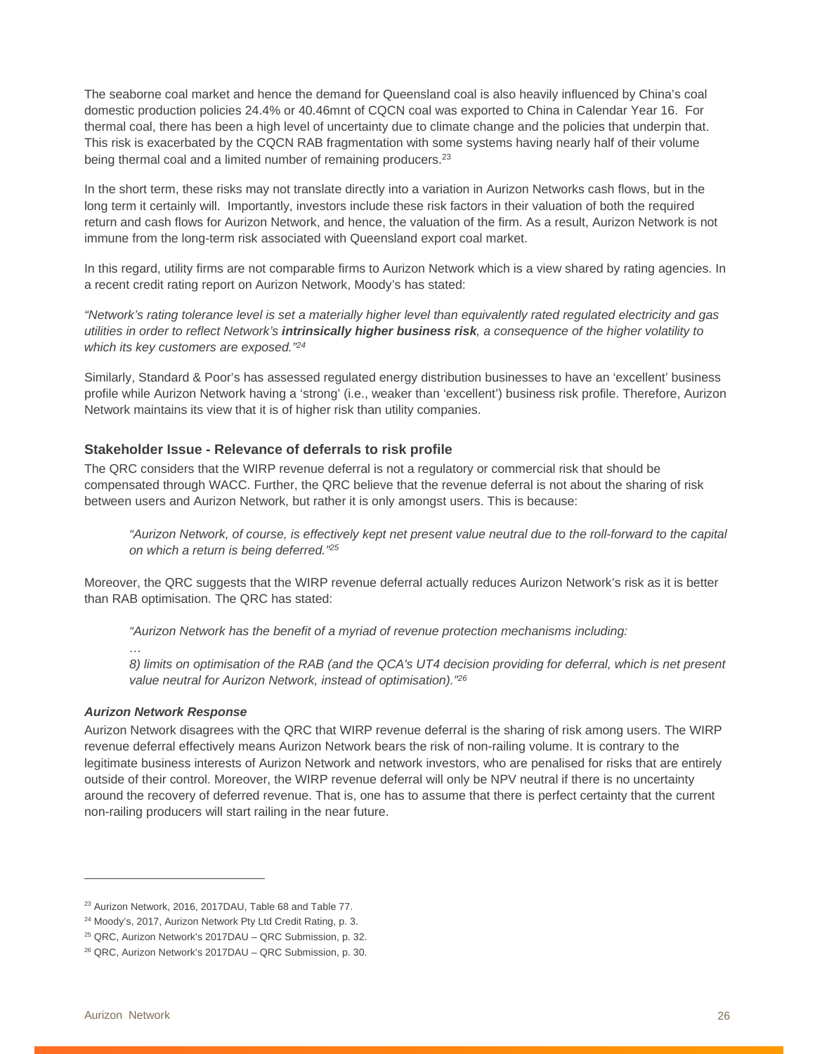The seaborne coal market and hence the demand for Queensland coal is also heavily influenced by China's coal domestic production policies 24.4% or 40.46mnt of CQCN coal was exported to China in Calendar Year 16. For thermal coal, there has been a high level of uncertainty due to climate change and the policies that underpin that. This risk is exacerbated by the CQCN RAB fragmentation with some systems having nearly half of their volume being thermal coal and a limited number of remaining producers.<sup>23</sup>

In the short term, these risks may not translate directly into a variation in Aurizon Networks cash flows, but in the long term it certainly will. Importantly, investors include these risk factors in their valuation of both the required return and cash flows for Aurizon Network, and hence, the valuation of the firm. As a result, Aurizon Network is not immune from the long-term risk associated with Queensland export coal market.

In this regard, utility firms are not comparable firms to Aurizon Network which is a view shared by rating agencies. In a recent credit rating report on Aurizon Network, Moody's has stated:

*"Network's rating tolerance level is set a materially higher level than equivalently rated regulated electricity and gas utilities in order to reflect Network's intrinsically higher business risk, a consequence of the higher volatility to which its key customers are exposed."24*

Similarly, Standard & Poor's has assessed regulated energy distribution businesses to have an 'excellent' business profile while Aurizon Network having a 'strong' (i.e., weaker than 'excellent') business risk profile. Therefore, Aurizon Network maintains its view that it is of higher risk than utility companies.

#### **Stakeholder Issue - Relevance of deferrals to risk profile**

The QRC considers that the WIRP revenue deferral is not a regulatory or commercial risk that should be compensated through WACC. Further, the QRC believe that the revenue deferral is not about the sharing of risk between users and Aurizon Network, but rather it is only amongst users. This is because:

*"Aurizon Network, of course, is effectively kept net present value neutral due to the roll-forward to the capital on which a return is being deferred."25*

Moreover, the QRC suggests that the WIRP revenue deferral actually reduces Aurizon Network's risk as it is better than RAB optimisation. The QRC has stated:

*"Aurizon Network has the benefit of a myriad of revenue protection mechanisms including:* 

*…* 

*8) limits on optimisation of the RAB (and the QCA's UT4 decision providing for deferral, which is net present value neutral for Aurizon Network, instead of optimisation)."26*

#### *Aurizon Network Response*

Aurizon Network disagrees with the QRC that WIRP revenue deferral is the sharing of risk among users. The WIRP revenue deferral effectively means Aurizon Network bears the risk of non-railing volume. It is contrary to the legitimate business interests of Aurizon Network and network investors, who are penalised for risks that are entirely outside of their control. Moreover, the WIRP revenue deferral will only be NPV neutral if there is no uncertainty around the recovery of deferred revenue. That is, one has to assume that there is perfect certainty that the current non-railing producers will start railing in the near future.

<sup>&</sup>lt;sup>23</sup> Aurizon Network, 2016, 2017DAU, Table 68 and Table 77.

<sup>&</sup>lt;sup>24</sup> Moody's, 2017, Aurizon Network Pty Ltd Credit Rating, p. 3.

<sup>25</sup> QRC, Aurizon Network's 2017DAU – QRC Submission, p. 32.

<sup>26</sup> QRC, Aurizon Network's 2017DAU – QRC Submission, p. 30.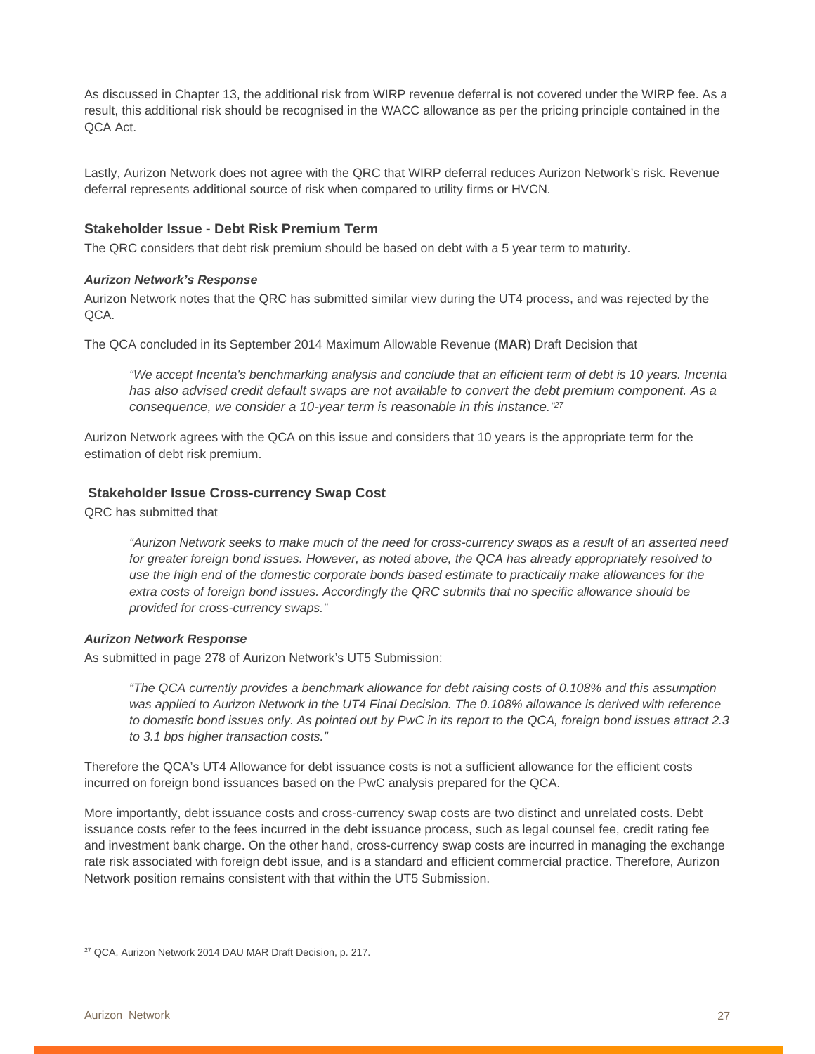As discussed in Chapter 13, the additional risk from WIRP revenue deferral is not covered under the WIRP fee. As a result, this additional risk should be recognised in the WACC allowance as per the pricing principle contained in the QCA Act.

Lastly, Aurizon Network does not agree with the QRC that WIRP deferral reduces Aurizon Network's risk. Revenue deferral represents additional source of risk when compared to utility firms or HVCN.

#### **Stakeholder Issue - Debt Risk Premium Term**

The QRC considers that debt risk premium should be based on debt with a 5 year term to maturity.

#### *Aurizon Network's Response*

Aurizon Network notes that the QRC has submitted similar view during the UT4 process, and was rejected by the QCA.

The QCA concluded in its September 2014 Maximum Allowable Revenue (**MAR**) Draft Decision that

*"We accept Incenta's benchmarking analysis and conclude that an efficient term of debt is 10 years. Incenta has also advised credit default swaps are not available to convert the debt premium component. As a consequence, we consider a 10-year term is reasonable in this instance."27*

Aurizon Network agrees with the QCA on this issue and considers that 10 years is the appropriate term for the estimation of debt risk premium.

#### **Stakeholder Issue Cross-currency Swap Cost**

QRC has submitted that

*"Aurizon Network seeks to make much of the need for cross-currency swaps as a result of an asserted need for greater foreign bond issues. However, as noted above, the QCA has already appropriately resolved to use the high end of the domestic corporate bonds based estimate to practically make allowances for the extra costs of foreign bond issues. Accordingly the QRC submits that no specific allowance should be provided for cross-currency swaps."* 

#### *Aurizon Network Response*

As submitted in page 278 of Aurizon Network's UT5 Submission:

*"The QCA currently provides a benchmark allowance for debt raising costs of 0.108% and this assumption was applied to Aurizon Network in the UT4 Final Decision. The 0.108% allowance is derived with reference to domestic bond issues only. As pointed out by PwC in its report to the QCA, foreign bond issues attract 2.3 to 3.1 bps higher transaction costs."* 

Therefore the QCA's UT4 Allowance for debt issuance costs is not a sufficient allowance for the efficient costs incurred on foreign bond issuances based on the PwC analysis prepared for the QCA.

More importantly, debt issuance costs and cross-currency swap costs are two distinct and unrelated costs. Debt issuance costs refer to the fees incurred in the debt issuance process, such as legal counsel fee, credit rating fee and investment bank charge. On the other hand, cross-currency swap costs are incurred in managing the exchange rate risk associated with foreign debt issue, and is a standard and efficient commercial practice. Therefore, Aurizon Network position remains consistent with that within the UT5 Submission.

<sup>&</sup>lt;sup>27</sup> QCA, Aurizon Network 2014 DAU MAR Draft Decision, p. 217.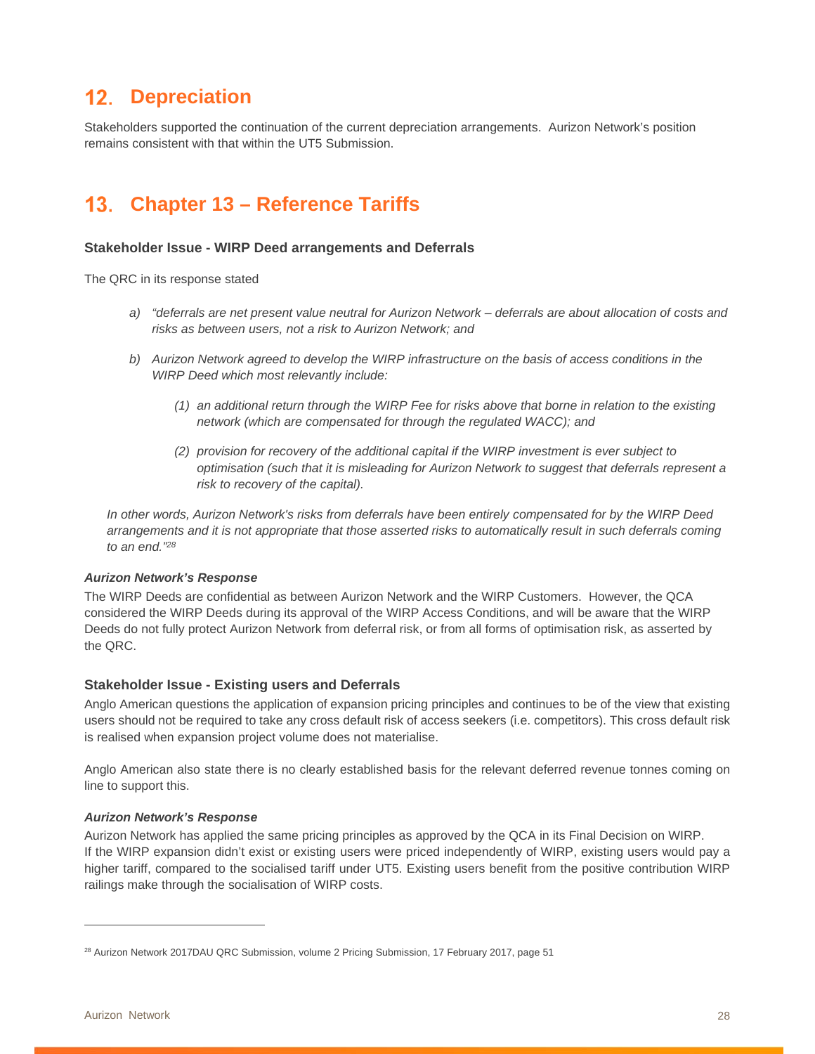# **12. Depreciation**

Stakeholders supported the continuation of the current depreciation arrangements. Aurizon Network's position remains consistent with that within the UT5 Submission.

# **Chapter 13 – Reference Tariffs**

#### **Stakeholder Issue - WIRP Deed arrangements and Deferrals**

The QRC in its response stated

- *a) "deferrals are net present value neutral for Aurizon Network deferrals are about allocation of costs and risks as between users, not a risk to Aurizon Network; and*
- *b) Aurizon Network agreed to develop the WIRP infrastructure on the basis of access conditions in the WIRP Deed which most relevantly include:* 
	- *(1) an additional return through the WIRP Fee for risks above that borne in relation to the existing network (which are compensated for through the regulated WACC); and*
	- *(2) provision for recovery of the additional capital if the WIRP investment is ever subject to optimisation (such that it is misleading for Aurizon Network to suggest that deferrals represent a risk to recovery of the capital).*

*In other words, Aurizon Network's risks from deferrals have been entirely compensated for by the WIRP Deed arrangements and it is not appropriate that those asserted risks to automatically result in such deferrals coming to an end."28*

#### *Aurizon Network's Response*

The WIRP Deeds are confidential as between Aurizon Network and the WIRP Customers. However, the QCA considered the WIRP Deeds during its approval of the WIRP Access Conditions, and will be aware that the WIRP Deeds do not fully protect Aurizon Network from deferral risk, or from all forms of optimisation risk, as asserted by the QRC.

#### **Stakeholder Issue - Existing users and Deferrals**

Anglo American questions the application of expansion pricing principles and continues to be of the view that existing users should not be required to take any cross default risk of access seekers (i.e. competitors). This cross default risk is realised when expansion project volume does not materialise.

Anglo American also state there is no clearly established basis for the relevant deferred revenue tonnes coming on line to support this.

#### *Aurizon Network's Response*

Aurizon Network has applied the same pricing principles as approved by the QCA in its Final Decision on WIRP. If the WIRP expansion didn't exist or existing users were priced independently of WIRP, existing users would pay a higher tariff, compared to the socialised tariff under UT5. Existing users benefit from the positive contribution WIRP railings make through the socialisation of WIRP costs.

 $\overline{a}$ 

<sup>&</sup>lt;sup>28</sup> Aurizon Network 2017DAU QRC Submission, volume 2 Pricing Submission, 17 February 2017, page 51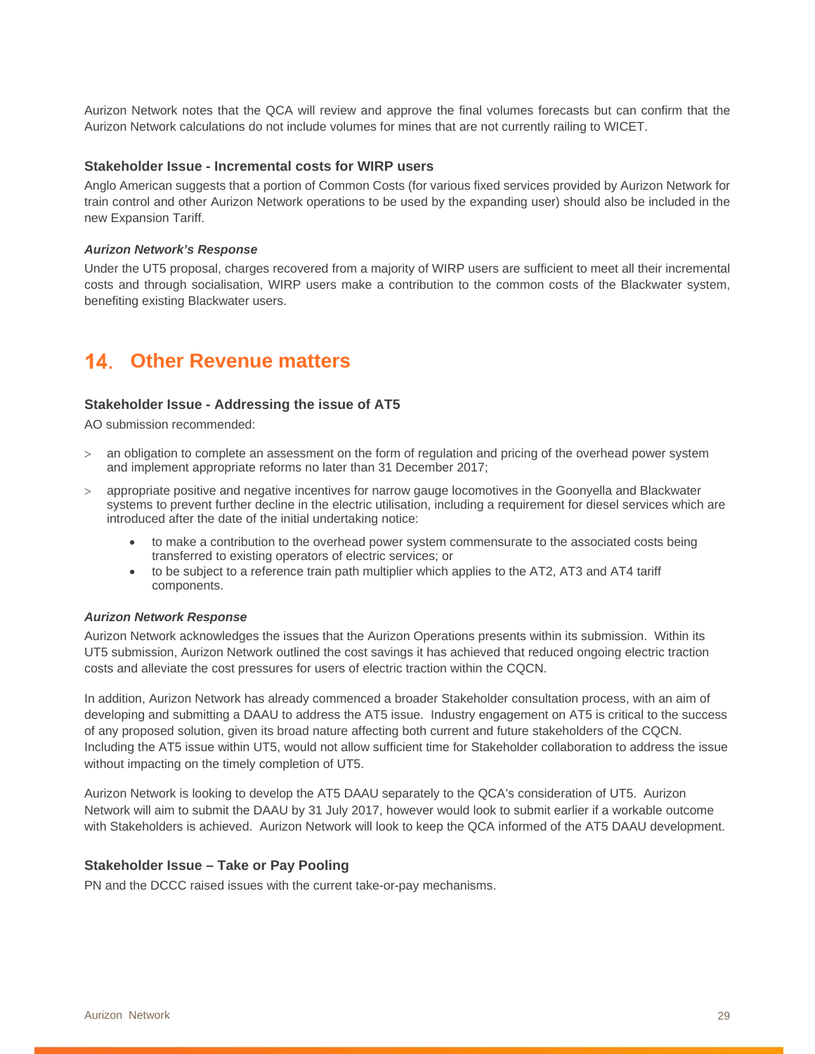Aurizon Network notes that the QCA will review and approve the final volumes forecasts but can confirm that the Aurizon Network calculations do not include volumes for mines that are not currently railing to WICET.

#### **Stakeholder Issue - Incremental costs for WIRP users**

Anglo American suggests that a portion of Common Costs (for various fixed services provided by Aurizon Network for train control and other Aurizon Network operations to be used by the expanding user) should also be included in the new Expansion Tariff.

#### *Aurizon Network's Response*

Under the UT5 proposal, charges recovered from a majority of WIRP users are sufficient to meet all their incremental costs and through socialisation, WIRP users make a contribution to the common costs of the Blackwater system, benefiting existing Blackwater users.

# **Other Revenue matters**

#### **Stakeholder Issue - Addressing the issue of AT5**

AO submission recommended:

- an obligation to complete an assessment on the form of regulation and pricing of the overhead power system and implement appropriate reforms no later than 31 December 2017;
- appropriate positive and negative incentives for narrow gauge locomotives in the Goonyella and Blackwater systems to prevent further decline in the electric utilisation, including a requirement for diesel services which are introduced after the date of the initial undertaking notice:
	- to make a contribution to the overhead power system commensurate to the associated costs being transferred to existing operators of electric services; or
	- to be subject to a reference train path multiplier which applies to the AT2, AT3 and AT4 tariff components.

#### *Aurizon Network Response*

Aurizon Network acknowledges the issues that the Aurizon Operations presents within its submission. Within its UT5 submission, Aurizon Network outlined the cost savings it has achieved that reduced ongoing electric traction costs and alleviate the cost pressures for users of electric traction within the CQCN.

In addition, Aurizon Network has already commenced a broader Stakeholder consultation process, with an aim of developing and submitting a DAAU to address the AT5 issue. Industry engagement on AT5 is critical to the success of any proposed solution, given its broad nature affecting both current and future stakeholders of the CQCN. Including the AT5 issue within UT5, would not allow sufficient time for Stakeholder collaboration to address the issue without impacting on the timely completion of UT5.

Aurizon Network is looking to develop the AT5 DAAU separately to the QCA's consideration of UT5. Aurizon Network will aim to submit the DAAU by 31 July 2017, however would look to submit earlier if a workable outcome with Stakeholders is achieved. Aurizon Network will look to keep the QCA informed of the AT5 DAAU development.

#### **Stakeholder Issue – Take or Pay Pooling**

PN and the DCCC raised issues with the current take-or-pay mechanisms.